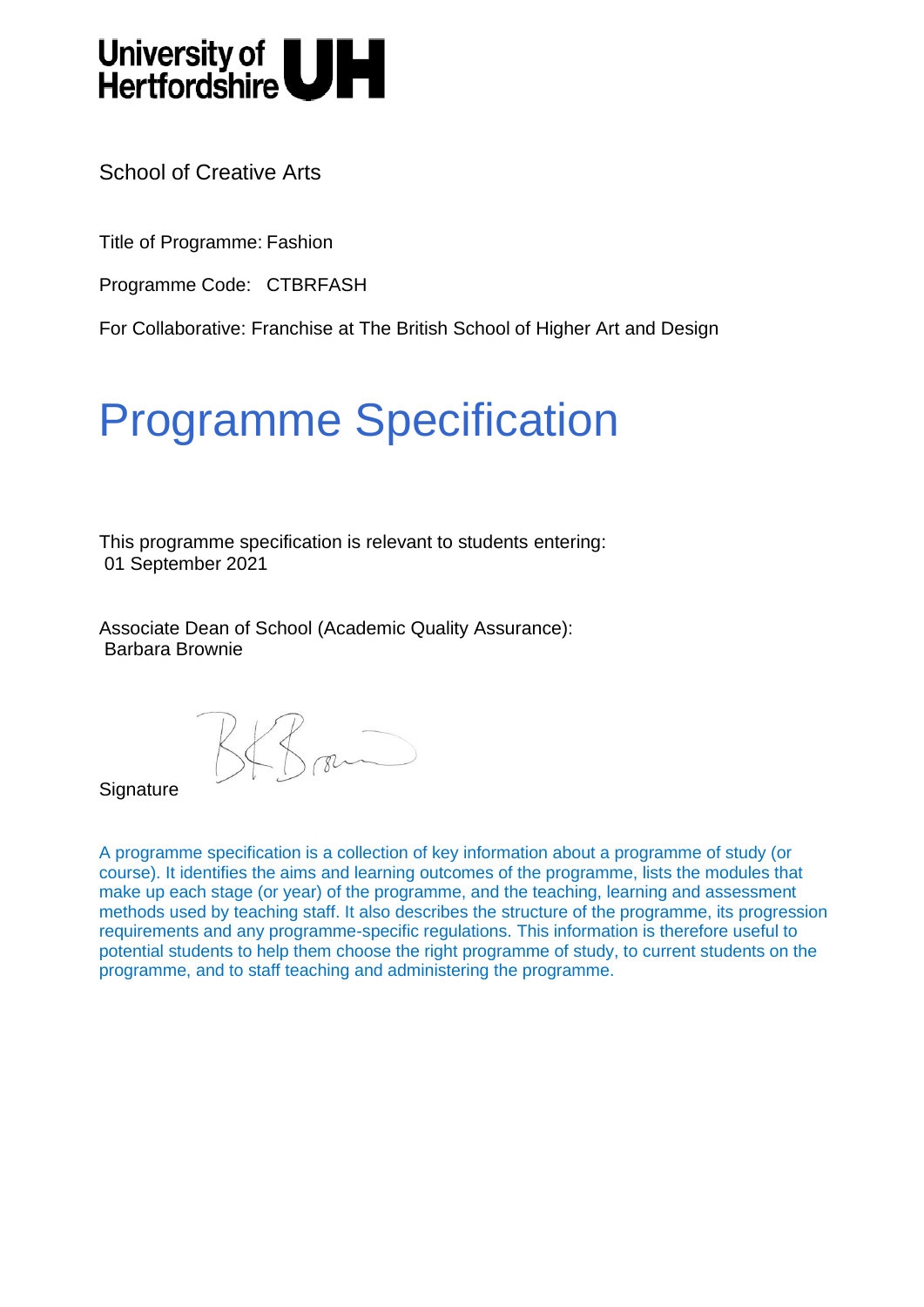# University of **UH**<br>Hertfordshire

School of Creative Arts

Title of Programme: Fashion

Programme Code: CTBRFASH

For Collaborative: Franchise at The British School of Higher Art and Design

### Programme Specification

This programme specification is relevant to students entering: 01 September 2021

Associate Dean of School (Academic Quality Assurance): Barbara Brownie

 $B\mathcal{B}_{\mathsf{r}}$ 

**Signature** 

A programme specification is a collection of key information about a programme of study (or course). It identifies the aims and learning outcomes of the programme, lists the modules that make up each stage (or year) of the programme, and the teaching, learning and assessment methods used by teaching staff. It also describes the structure of the programme, its progression requirements and any programme-specific regulations. This information is therefore useful to potential students to help them choose the right programme of study, to current students on the programme, and to staff teaching and administering the programme.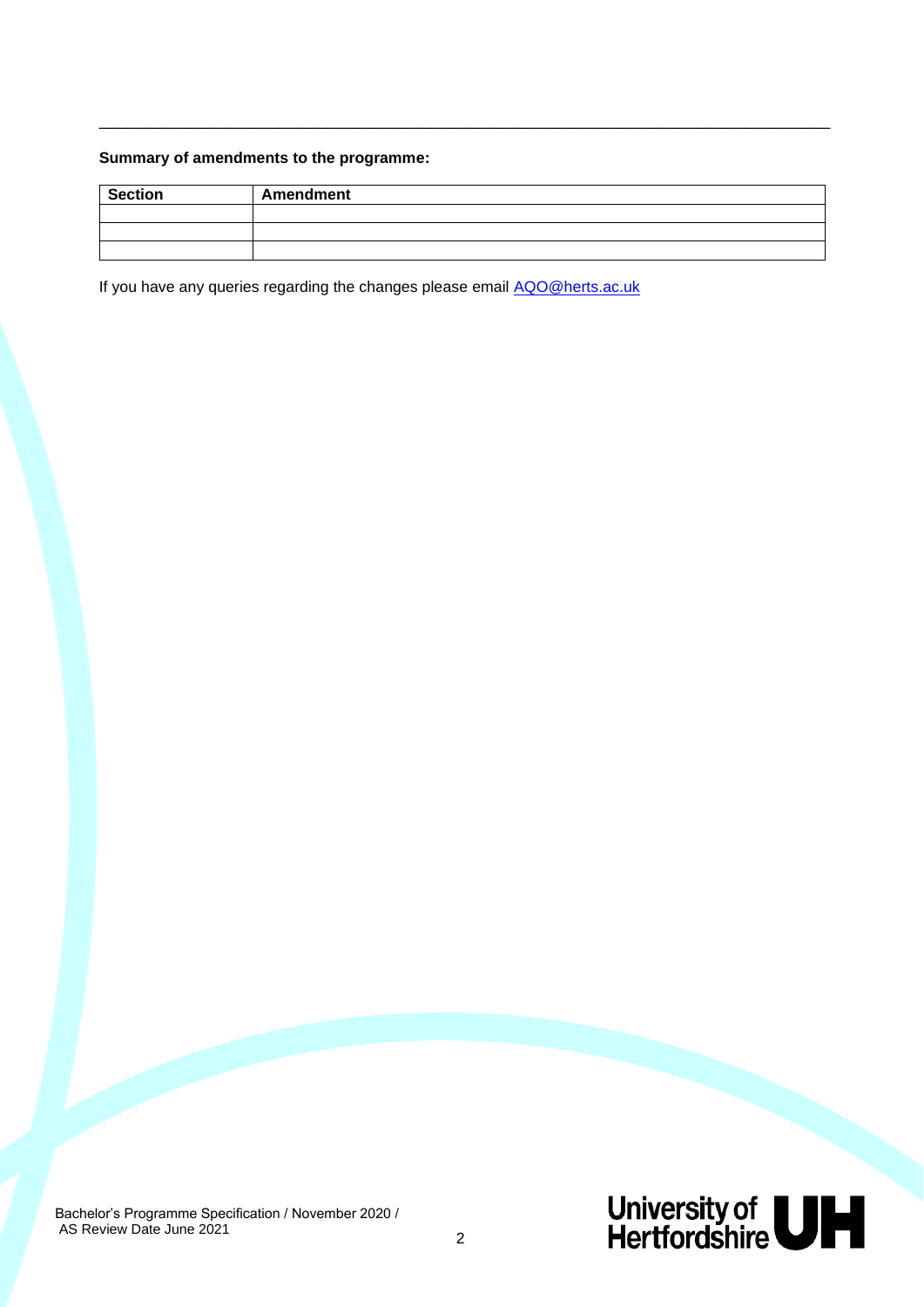#### **Summary of amendments to the programme:**

| <b>Section</b> | <b>Amendment</b> |
|----------------|------------------|
|                |                  |
|                |                  |
|                |                  |

\_\_\_\_\_\_\_\_\_\_\_\_\_\_\_\_\_\_\_\_\_\_\_\_\_\_\_\_\_\_\_\_\_\_\_\_\_\_\_\_\_\_\_\_\_\_\_\_\_\_\_\_\_\_\_\_\_\_\_\_\_\_\_\_\_\_\_\_\_\_\_\_\_\_\_\_\_

If you have any queries regarding the changes please email [AQO@herts.ac.uk](mailto:AQO@herts.ac.uk)

Bachelor's Programme Specification / November 2020 / AS Review Date June 2021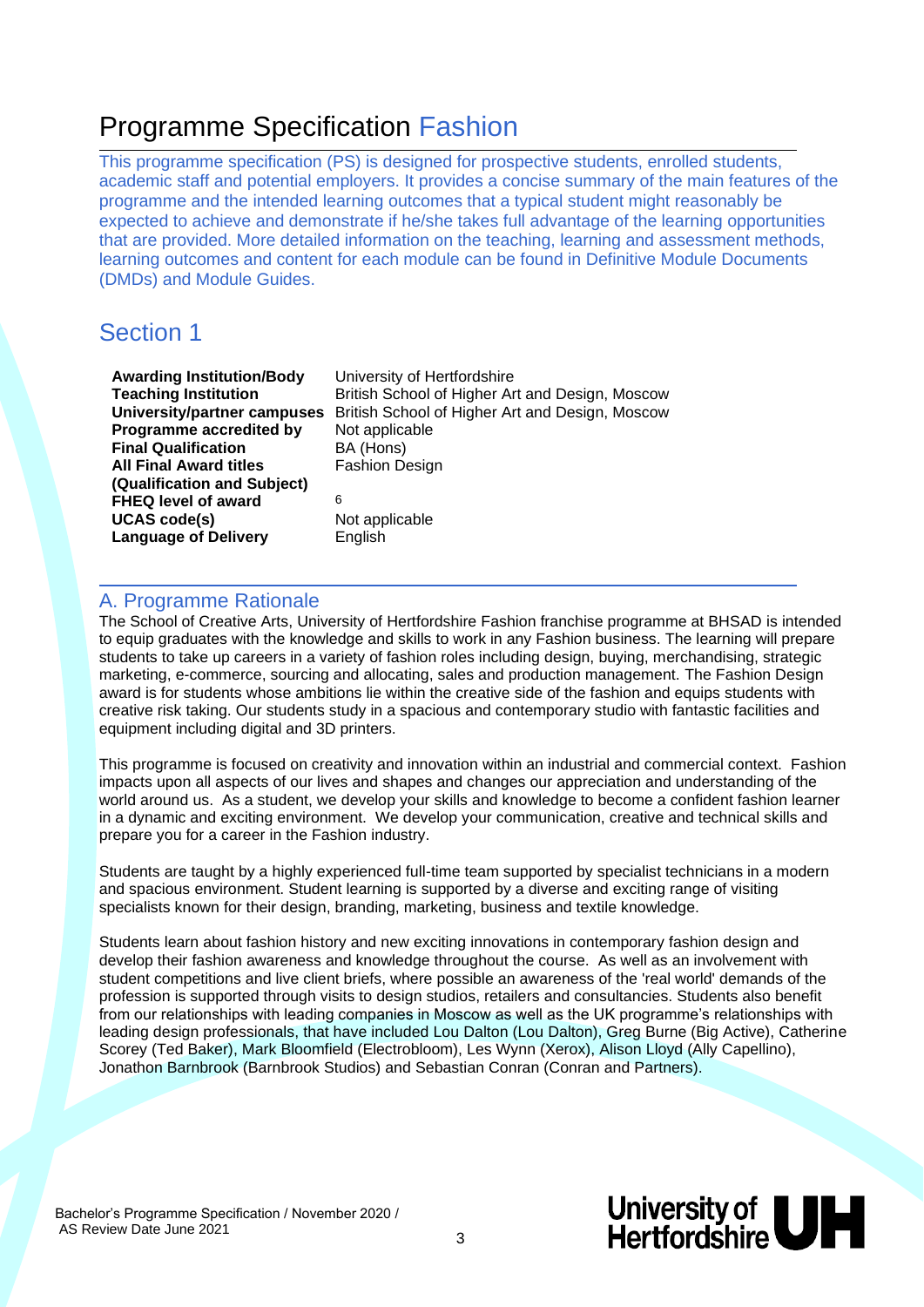### Programme Specification Fashion

This programme specification (PS) is designed for prospective students, enrolled students, academic staff and potential employers. It provides a concise summary of the main features of the programme and the intended learning outcomes that a typical student might reasonably be expected to achieve and demonstrate if he/she takes full advantage of the learning opportunities that are provided. More detailed information on the teaching, learning and assessment methods, learning outcomes and content for each module can be found in Definitive Module Documents (DMDs) and Module Guides.

### Section 1

| <b>Awarding Institution/Body</b>   | Univers        |
|------------------------------------|----------------|
| <b>Teaching Institution</b>        | <b>British</b> |
| <b>University/partner campuses</b> | <b>British</b> |
| Programme accredited by            | Not app        |
| <b>Final Qualification</b>         | BA (Ho         |
| <b>All Final Award titles</b>      | Fashior        |
| (Qualification and Subject)        |                |
| <b>FHEQ level of award</b>         | 6              |
| <b>UCAS code(s)</b>                | Not app        |
| <b>Language of Delivery</b>        | English        |

**Augming Institution** sh School of Higher Art and Design, Moscow sh School of Higher Art and Design, Moscow applicable (Hons) hion Design applicable

#### A. Programme Rationale

The School of Creative Arts, University of Hertfordshire Fashion franchise programme at BHSAD is intended to equip graduates with the knowledge and skills to work in any Fashion business. The learning will prepare students to take up careers in a variety of fashion roles including design, buying, merchandising, strategic marketing, e-commerce, sourcing and allocating, sales and production management. The Fashion Design award is for students whose ambitions lie within the creative side of the fashion and equips students with creative risk taking. Our students study in a spacious and contemporary studio with fantastic facilities and equipment including digital and 3D printers.

This programme is focused on creativity and innovation within an industrial and commercial context. Fashion impacts upon all aspects of our lives and shapes and changes our appreciation and understanding of the world around us. As a student, we develop your skills and knowledge to become a confident fashion learner in a dynamic and exciting environment. We develop your communication, creative and technical skills and prepare you for a career in the Fashion industry.

Students are taught by a highly experienced full-time team supported by specialist technicians in a modern and spacious environment. Student learning is supported by a diverse and exciting range of visiting specialists known for their design, branding, marketing, business and textile knowledge.

Students learn about fashion history and new exciting innovations in contemporary fashion design and develop their fashion awareness and knowledge throughout the course. As well as an involvement with student competitions and live client briefs, where possible an awareness of the 'real world' demands of the profession is supported through visits to design studios, retailers and consultancies. Students also benefit from our relationships with leading companies in Moscow as well as the UK programme's relationships with leading design professionals, that have included Lou Dalton (Lou Dalton), Greg Burne (Big Active), Catherine Scorey (Ted Baker), Mark Bloomfield (Electrobloom), Les Wynn (Xerox), Alison Lloyd (Ally Capellino), Jonathon Barnbrook (Barnbrook Studios) and Sebastian Conran (Conran and Partners).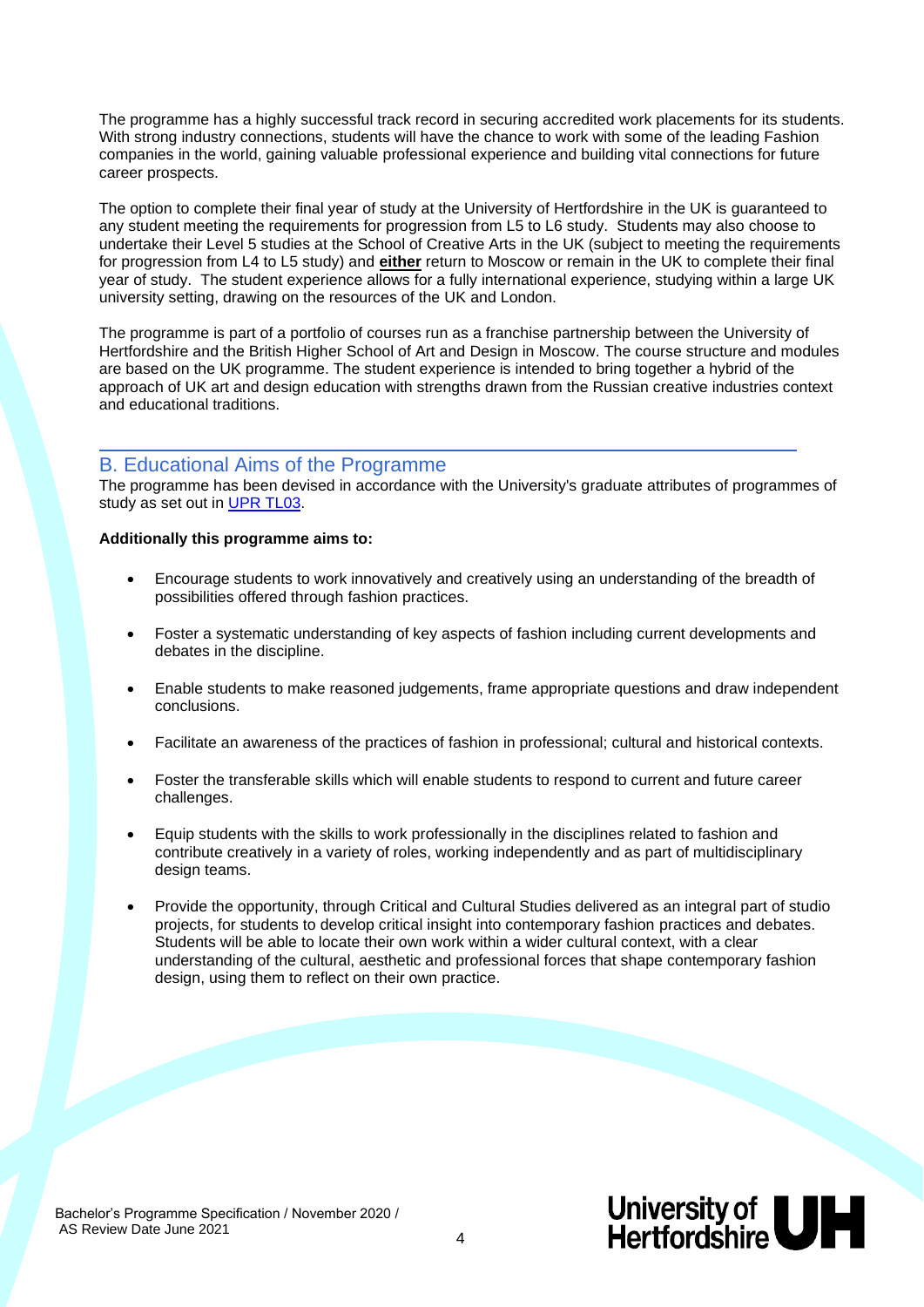The programme has a highly successful track record in securing accredited work placements for its students. With strong industry connections, students will have the chance to work with some of the leading Fashion companies in the world, gaining valuable professional experience and building vital connections for future career prospects.

The option to complete their final year of study at the University of Hertfordshire in the UK is guaranteed to any student meeting the requirements for progression from L5 to L6 study. Students may also choose to undertake their Level 5 studies at the School of Creative Arts in the UK (subject to meeting the requirements for progression from L4 to L5 study) and **either** return to Moscow or remain in the UK to complete their final year of study. The student experience allows for a fully international experience, studying within a large UK university setting, drawing on the resources of the UK and London.

The programme is part of a portfolio of courses run as a franchise partnership between the University of Hertfordshire and the British Higher School of Art and Design in Moscow. The course structure and modules are based on the UK programme. The student experience is intended to bring together a hybrid of the approach of UK art and design education with strengths drawn from the Russian creative industries context and educational traditions.

#### B. Educational Aims of the Programme

The programme has been devised in accordance with the University's graduate attributes of programmes of study as set out in [UPR TL03.](http://sitem.herts.ac.uk/secreg/upr/TL03.htm)

#### **Additionally this programme aims to:**

- Encourage students to work innovatively and creatively using an understanding of the breadth of possibilities offered through fashion practices.
- Foster a systematic understanding of key aspects of fashion including current developments and debates in the discipline.
- Enable students to make reasoned judgements, frame appropriate questions and draw independent conclusions.
- Facilitate an awareness of the practices of fashion in professional; cultural and historical contexts.
- Foster the transferable skills which will enable students to respond to current and future career challenges.
- Equip students with the skills to work professionally in the disciplines related to fashion and contribute creatively in a variety of roles, working independently and as part of multidisciplinary design teams.
- Provide the opportunity, through Critical and Cultural Studies delivered as an integral part of studio projects, for students to develop critical insight into contemporary fashion practices and debates. Students will be able to locate their own work within a wider cultural context, with a clear understanding of the cultural, aesthetic and professional forces that shape contemporary fashion design, using them to reflect on their own practice.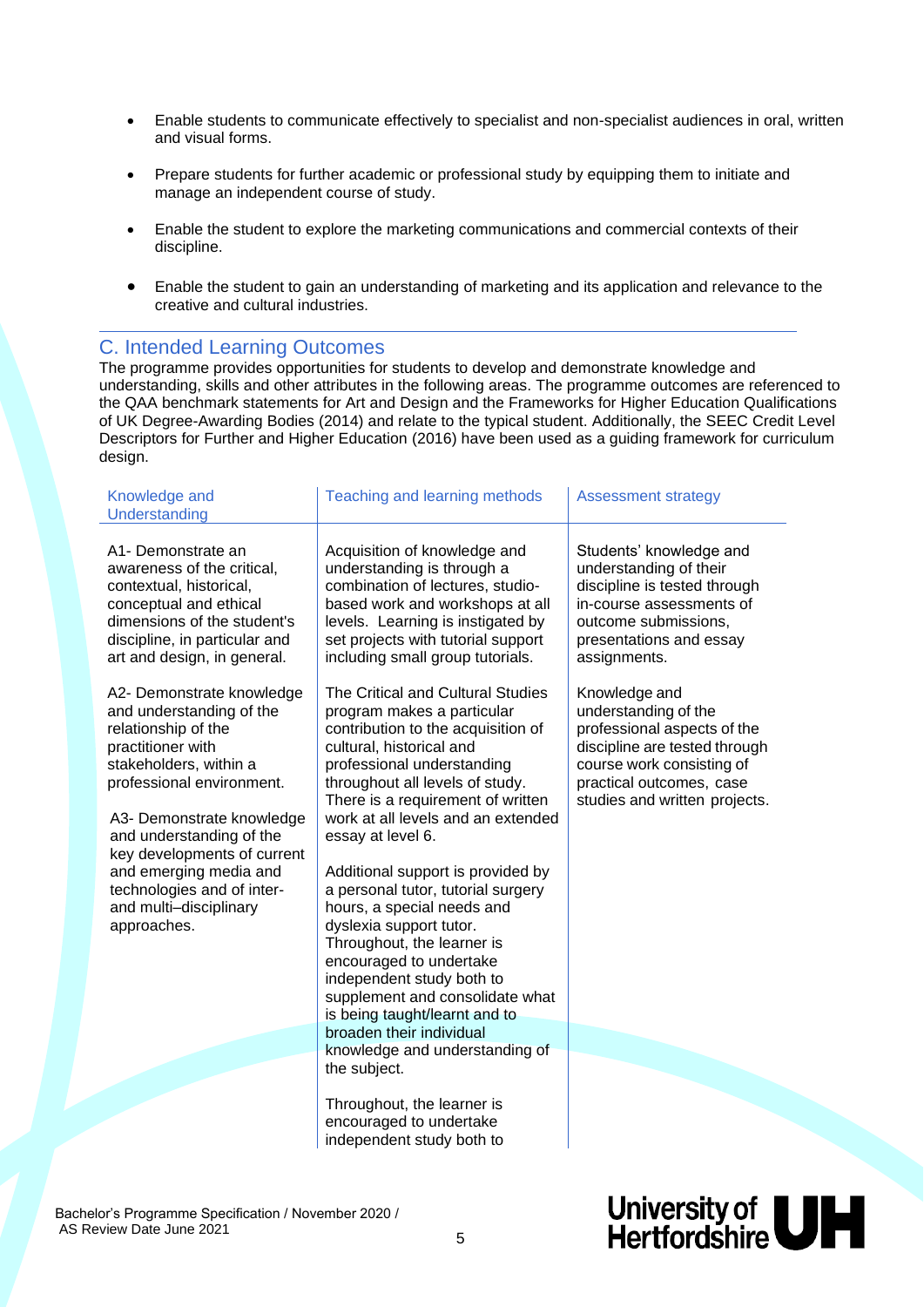- Enable students to communicate effectively to specialist and non-specialist audiences in oral, written and visual forms.
- Prepare students for further academic or professional study by equipping them to initiate and manage an independent course of study.
- Enable the student to explore the marketing communications and commercial contexts of their discipline.
- Enable the student to gain an understanding of marketing and its application and relevance to the creative and cultural industries.

#### C. Intended Learning Outcomes

The programme provides opportunities for students to develop and demonstrate knowledge and understanding, skills and other attributes in the following areas. The programme outcomes are referenced to the QAA benchmark statements for Art and Design and the Frameworks for Higher Education Qualifications of UK Degree-Awarding Bodies (2014) and relate to the typical student. Additionally, the SEEC Credit Level Descriptors for Further and Higher Education (2016) have been used as a guiding framework for curriculum design.

| Knowledge and<br>Understanding                                                                                                                                                                                                                                                                                                                    | Teaching and learning methods                                                                                                                                                                                                                                                                                                                                                                                                                                                                                                                                                                                                | <b>Assessment strategy</b>                                                                                                                                                                      |
|---------------------------------------------------------------------------------------------------------------------------------------------------------------------------------------------------------------------------------------------------------------------------------------------------------------------------------------------------|------------------------------------------------------------------------------------------------------------------------------------------------------------------------------------------------------------------------------------------------------------------------------------------------------------------------------------------------------------------------------------------------------------------------------------------------------------------------------------------------------------------------------------------------------------------------------------------------------------------------------|-------------------------------------------------------------------------------------------------------------------------------------------------------------------------------------------------|
| A1- Demonstrate an<br>awareness of the critical,<br>contextual, historical,<br>conceptual and ethical<br>dimensions of the student's<br>discipline, in particular and<br>art and design, in general.                                                                                                                                              | Acquisition of knowledge and<br>understanding is through a<br>combination of lectures, studio-<br>based work and workshops at all<br>levels. Learning is instigated by<br>set projects with tutorial support<br>including small group tutorials.                                                                                                                                                                                                                                                                                                                                                                             | Students' knowledge and<br>understanding of their<br>discipline is tested through<br>in-course assessments of<br>outcome submissions,<br>presentations and essay<br>assignments.                |
| A2- Demonstrate knowledge<br>and understanding of the<br>relationship of the<br>practitioner with<br>stakeholders, within a<br>professional environment.<br>A3- Demonstrate knowledge<br>and understanding of the<br>key developments of current<br>and emerging media and<br>technologies and of inter-<br>and multi-disciplinary<br>approaches. | The Critical and Cultural Studies<br>program makes a particular<br>contribution to the acquisition of<br>cultural, historical and<br>professional understanding<br>throughout all levels of study.<br>There is a requirement of written<br>work at all levels and an extended<br>essay at level 6.<br>Additional support is provided by<br>a personal tutor, tutorial surgery<br>hours, a special needs and<br>dyslexia support tutor.<br>Throughout, the learner is<br>encouraged to undertake<br>independent study both to<br>supplement and consolidate what<br>is being taught/learnt and to<br>broaden their individual | Knowledge and<br>understanding of the<br>professional aspects of the<br>discipline are tested through<br>course work consisting of<br>practical outcomes, case<br>studies and written projects. |
|                                                                                                                                                                                                                                                                                                                                                   | knowledge and understanding of<br>the subject.                                                                                                                                                                                                                                                                                                                                                                                                                                                                                                                                                                               |                                                                                                                                                                                                 |
|                                                                                                                                                                                                                                                                                                                                                   | Throughout, the learner is<br>encouraged to undertake<br>independent study both to                                                                                                                                                                                                                                                                                                                                                                                                                                                                                                                                           |                                                                                                                                                                                                 |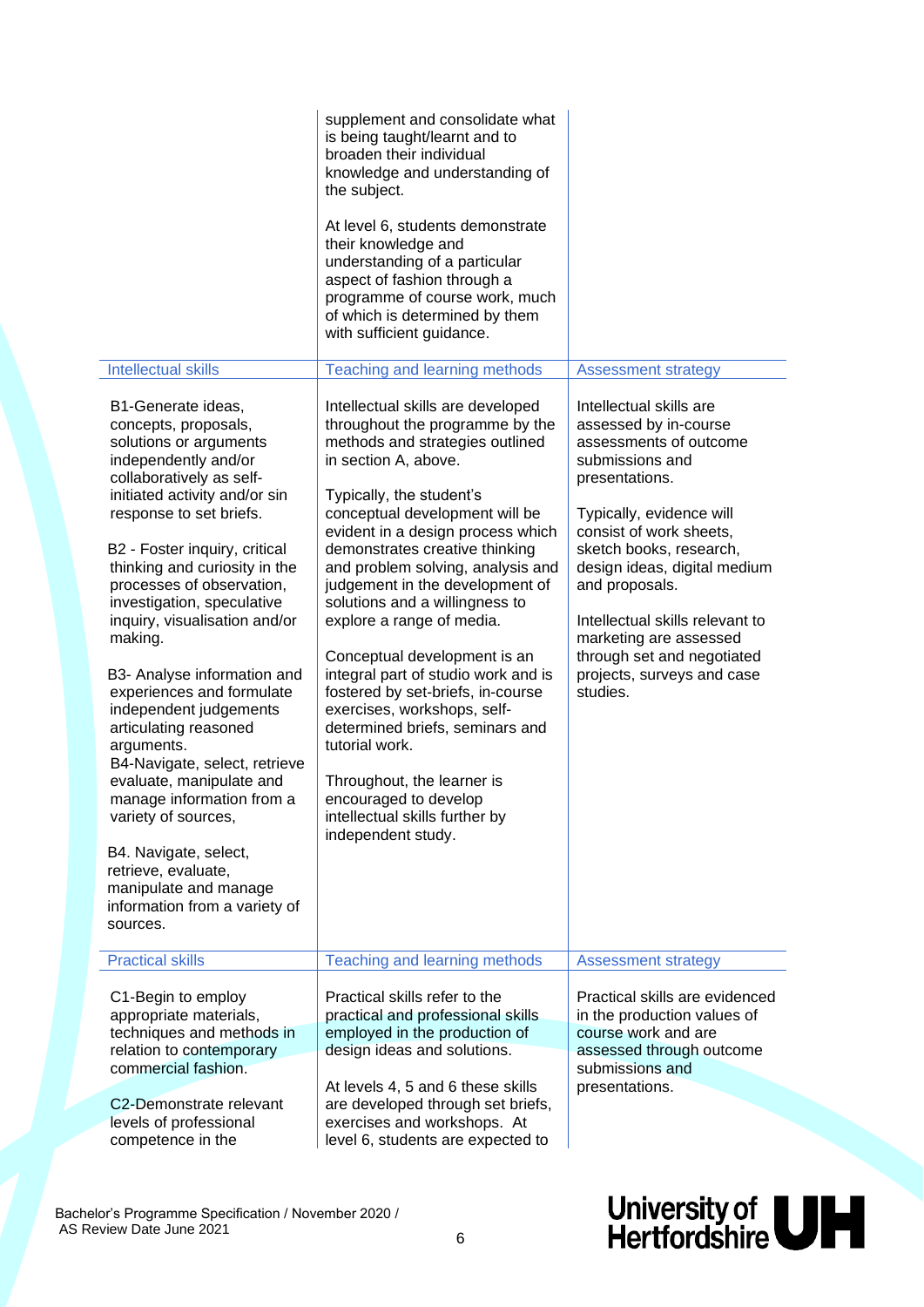|                                                                                                                                                                                                                                                                                                                                                                                                                                                                                                                                                                                                                                                                                                                                   | supplement and consolidate what<br>is being taught/learnt and to<br>broaden their individual<br>knowledge and understanding of<br>the subject.<br>At level 6, students demonstrate<br>their knowledge and<br>understanding of a particular<br>aspect of fashion through a<br>programme of course work, much<br>of which is determined by them<br>with sufficient guidance.                                                                                                                                                                                                                                                                                                                                                 |                                                                                                                                                                                                                                                                                                                                                                                          |
|-----------------------------------------------------------------------------------------------------------------------------------------------------------------------------------------------------------------------------------------------------------------------------------------------------------------------------------------------------------------------------------------------------------------------------------------------------------------------------------------------------------------------------------------------------------------------------------------------------------------------------------------------------------------------------------------------------------------------------------|----------------------------------------------------------------------------------------------------------------------------------------------------------------------------------------------------------------------------------------------------------------------------------------------------------------------------------------------------------------------------------------------------------------------------------------------------------------------------------------------------------------------------------------------------------------------------------------------------------------------------------------------------------------------------------------------------------------------------|------------------------------------------------------------------------------------------------------------------------------------------------------------------------------------------------------------------------------------------------------------------------------------------------------------------------------------------------------------------------------------------|
| <b>Intellectual skills</b>                                                                                                                                                                                                                                                                                                                                                                                                                                                                                                                                                                                                                                                                                                        | Teaching and learning methods                                                                                                                                                                                                                                                                                                                                                                                                                                                                                                                                                                                                                                                                                              | <b>Assessment strategy</b>                                                                                                                                                                                                                                                                                                                                                               |
| B1-Generate ideas,<br>concepts, proposals,<br>solutions or arguments<br>independently and/or<br>collaboratively as self-<br>initiated activity and/or sin<br>response to set briefs.<br>B2 - Foster inquiry, critical<br>thinking and curiosity in the<br>processes of observation,<br>investigation, speculative<br>inquiry, visualisation and/or<br>making.<br>B3- Analyse information and<br>experiences and formulate<br>independent judgements<br>articulating reasoned<br>arguments.<br>B4-Navigate, select, retrieve<br>evaluate, manipulate and<br>manage information from a<br>variety of sources,<br>B4. Navigate, select,<br>retrieve, evaluate,<br>manipulate and manage<br>information from a variety of<br>sources. | Intellectual skills are developed<br>throughout the programme by the<br>methods and strategies outlined<br>in section A, above.<br>Typically, the student's<br>conceptual development will be<br>evident in a design process which<br>demonstrates creative thinking<br>and problem solving, analysis and<br>judgement in the development of<br>solutions and a willingness to<br>explore a range of media.<br>Conceptual development is an<br>integral part of studio work and is<br>fostered by set-briefs, in-course<br>exercises, workshops, self-<br>determined briefs, seminars and<br>tutorial work.<br>Throughout, the learner is<br>encouraged to develop<br>intellectual skills further by<br>independent study. | Intellectual skills are<br>assessed by in-course<br>assessments of outcome<br>submissions and<br>presentations.<br>Typically, evidence will<br>consist of work sheets,<br>sketch books, research,<br>design ideas, digital medium<br>and proposals.<br>Intellectual skills relevant to<br>marketing are assessed<br>through set and negotiated<br>projects, surveys and case<br>studies. |
| <b>Practical skills</b>                                                                                                                                                                                                                                                                                                                                                                                                                                                                                                                                                                                                                                                                                                           | Teaching and learning methods                                                                                                                                                                                                                                                                                                                                                                                                                                                                                                                                                                                                                                                                                              | <b>Assessment strategy</b>                                                                                                                                                                                                                                                                                                                                                               |
| C1-Begin to employ<br>appropriate materials,<br>techniques and methods in<br>relation to contemporary<br>commercial fashion.                                                                                                                                                                                                                                                                                                                                                                                                                                                                                                                                                                                                      | Practical skills refer to the<br>practical and professional skills<br>employed in the production of<br>design ideas and solutions.<br>At levels 4, 5 and 6 these skills                                                                                                                                                                                                                                                                                                                                                                                                                                                                                                                                                    | Practical skills are evidenced<br>in the production values of<br>course work and are<br>assessed through outcome<br>submissions and<br>presentations.                                                                                                                                                                                                                                    |
| C <sub>2</sub> -Demonstrate relevant<br>levels of professional                                                                                                                                                                                                                                                                                                                                                                                                                                                                                                                                                                                                                                                                    | are developed through set briefs,<br>exercises and workshops. At                                                                                                                                                                                                                                                                                                                                                                                                                                                                                                                                                                                                                                                           |                                                                                                                                                                                                                                                                                                                                                                                          |
| competence in the                                                                                                                                                                                                                                                                                                                                                                                                                                                                                                                                                                                                                                                                                                                 | level 6, students are expected to                                                                                                                                                                                                                                                                                                                                                                                                                                                                                                                                                                                                                                                                                          |                                                                                                                                                                                                                                                                                                                                                                                          |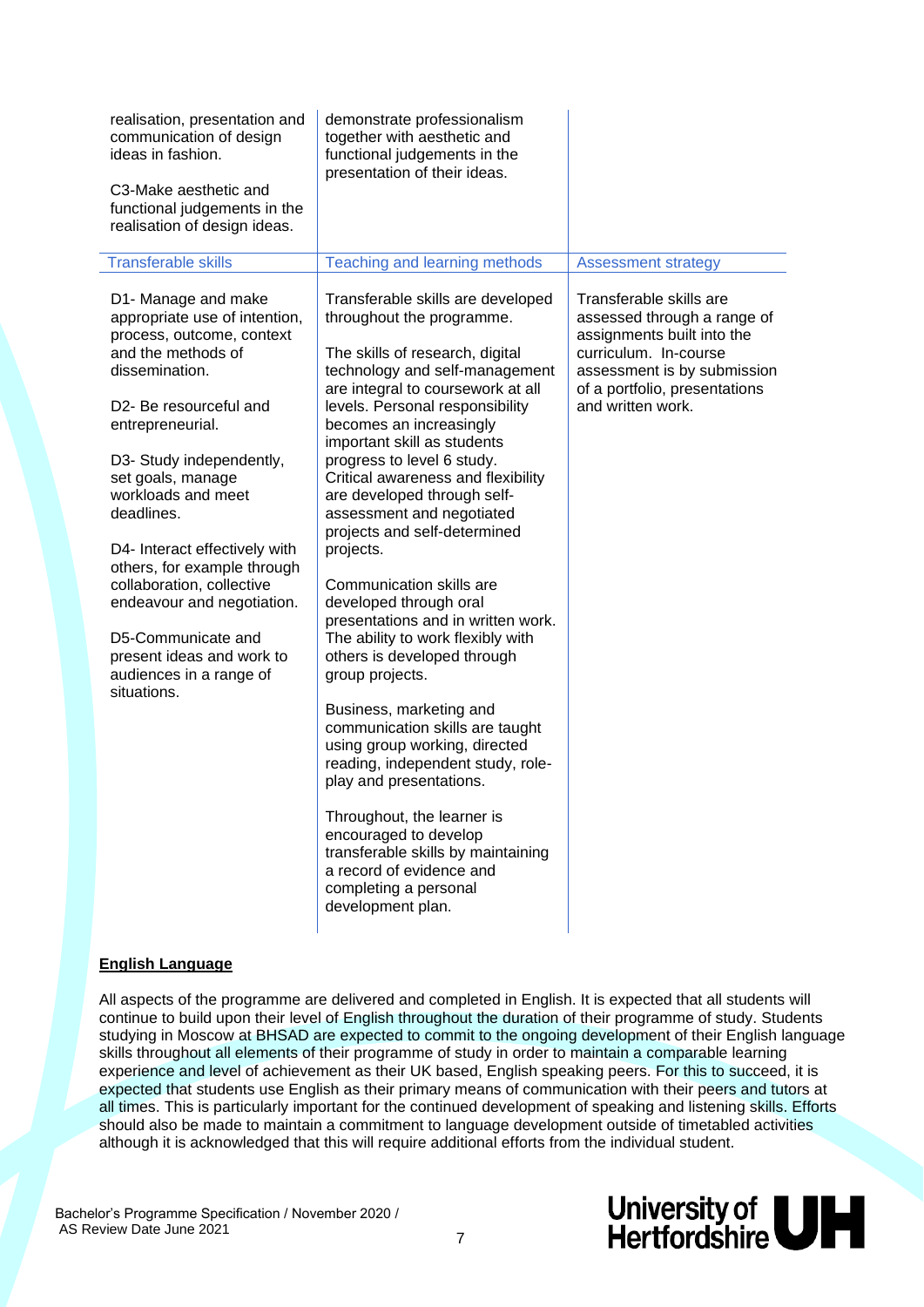| realisation, presentation and<br>communication of design<br>ideas in fashion.<br>C3-Make aesthetic and<br>functional judgements in the<br>realisation of design ideas.                                                                                                                                                                                                                                                                                                                            | demonstrate professionalism<br>together with aesthetic and<br>functional judgements in the<br>presentation of their ideas.                                                                                                                                                                                                                                                                                                                                                                                                                                                                                                                                                                                                                                                                                                                                                                                                                                                  |                                                                                                                                                                                                    |
|---------------------------------------------------------------------------------------------------------------------------------------------------------------------------------------------------------------------------------------------------------------------------------------------------------------------------------------------------------------------------------------------------------------------------------------------------------------------------------------------------|-----------------------------------------------------------------------------------------------------------------------------------------------------------------------------------------------------------------------------------------------------------------------------------------------------------------------------------------------------------------------------------------------------------------------------------------------------------------------------------------------------------------------------------------------------------------------------------------------------------------------------------------------------------------------------------------------------------------------------------------------------------------------------------------------------------------------------------------------------------------------------------------------------------------------------------------------------------------------------|----------------------------------------------------------------------------------------------------------------------------------------------------------------------------------------------------|
| <b>Transferable skills</b>                                                                                                                                                                                                                                                                                                                                                                                                                                                                        | Teaching and learning methods                                                                                                                                                                                                                                                                                                                                                                                                                                                                                                                                                                                                                                                                                                                                                                                                                                                                                                                                               | <b>Assessment strategy</b>                                                                                                                                                                         |
| D1- Manage and make<br>appropriate use of intention,<br>process, outcome, context<br>and the methods of<br>dissemination.<br>D <sub>2</sub> - Be resourceful and<br>entrepreneurial.<br>D3- Study independently,<br>set goals, manage<br>workloads and meet<br>deadlines.<br>D4- Interact effectively with<br>others, for example through<br>collaboration, collective<br>endeavour and negotiation.<br>D5-Communicate and<br>present ideas and work to<br>audiences in a range of<br>situations. | Transferable skills are developed<br>throughout the programme.<br>The skills of research, digital<br>technology and self-management<br>are integral to coursework at all<br>levels. Personal responsibility<br>becomes an increasingly<br>important skill as students<br>progress to level 6 study.<br>Critical awareness and flexibility<br>are developed through self-<br>assessment and negotiated<br>projects and self-determined<br>projects.<br>Communication skills are<br>developed through oral<br>presentations and in written work.<br>The ability to work flexibly with<br>others is developed through<br>group projects.<br>Business, marketing and<br>communication skills are taught<br>using group working, directed<br>reading, independent study, role-<br>play and presentations.<br>Throughout, the learner is<br>encouraged to develop<br>transferable skills by maintaining<br>a record of evidence and<br>completing a personal<br>development plan. | Transferable skills are<br>assessed through a range of<br>assignments built into the<br>curriculum. In-course<br>assessment is by submission<br>of a portfolio, presentations<br>and written work. |

#### **English Language**

All aspects of the programme are delivered and completed in English. It is expected that all students will continue to build upon their level of English throughout the duration of their programme of study. Students studying in Moscow at BHSAD are expected to commit to the ongoing development of their English language skills throughout all elements of their programme of study in order to maintain a comparable learning experience and level of achievement as their UK based, English speaking peers. For this to succeed, it is expected that students use English as their primary means of communication with their peers and tutors at all times. This is particularly important for the continued development of speaking and listening skills. Efforts should also be made to maintain a commitment to language development outside of timetabled activities although it is acknowledged that this will require additional efforts from the individual student.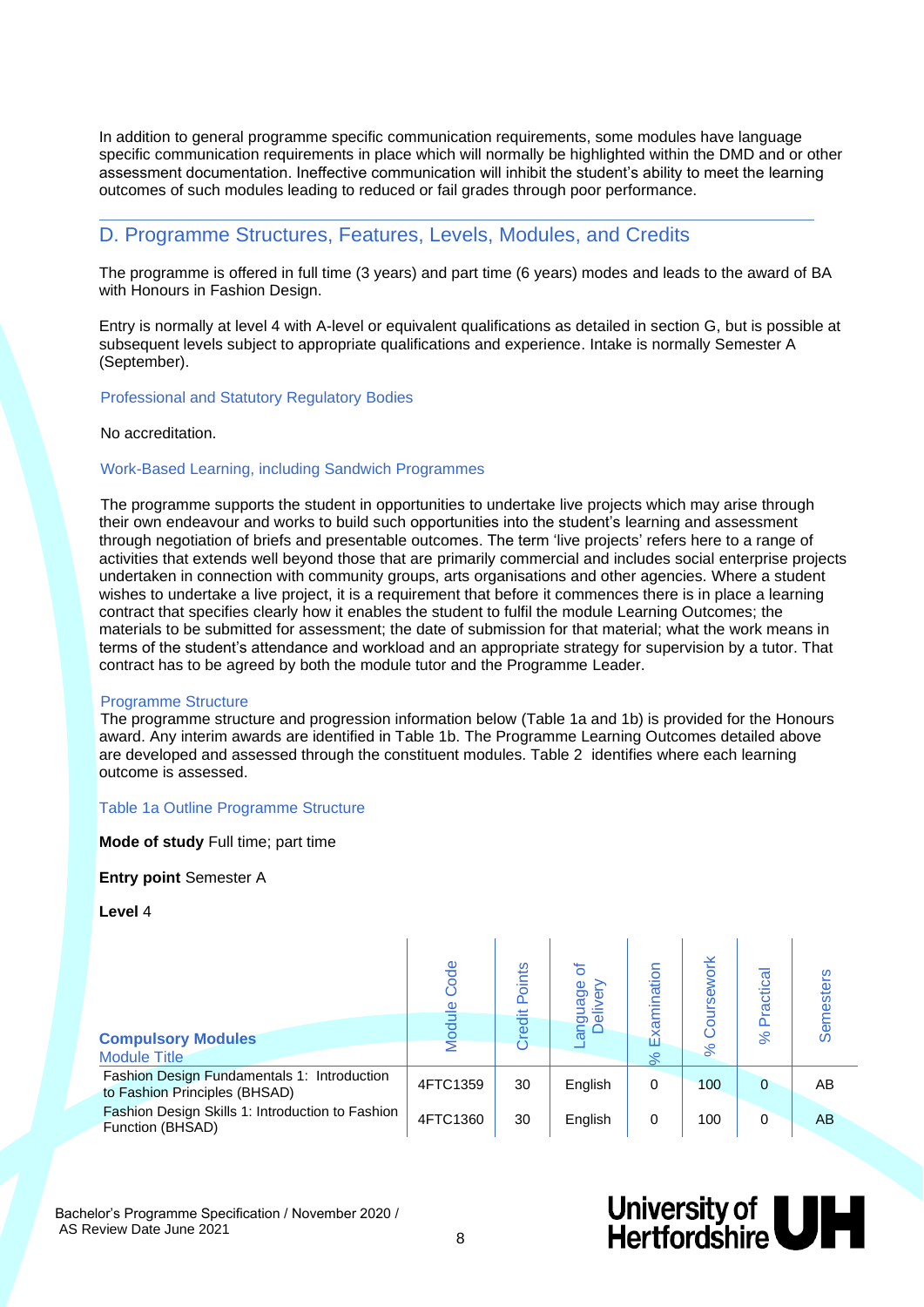In addition to general programme specific communication requirements, some modules have language specific communication requirements in place which will normally be highlighted within the DMD and or other assessment documentation. Ineffective communication will inhibit the student's ability to meet the learning outcomes of such modules leading to reduced or fail grades through poor performance.

#### D. Programme Structures, Features, Levels, Modules, and Credits

The programme is offered in full time (3 years) and part time (6 years) modes and leads to the award of BA with Honours in Fashion Design.

Entry is normally at level 4 with A-level or equivalent qualifications as detailed in section G, but is possible at subsequent levels subject to appropriate qualifications and experience. Intake is normally Semester A (September).

#### Professional and Statutory Regulatory Bodies

#### No accreditation.

#### Work-Based Learning, including Sandwich Programmes

The programme supports the student in opportunities to undertake live projects which may arise through their own endeavour and works to build such opportunities into the student's learning and assessment through negotiation of briefs and presentable outcomes. The term 'live projects' refers here to a range of activities that extends well beyond those that are primarily commercial and includes social enterprise projects undertaken in connection with community groups, arts organisations and other agencies. Where a student wishes to undertake a live project, it is a requirement that before it commences there is in place a learning contract that specifies clearly how it enables the student to fulfil the module Learning Outcomes; the materials to be submitted for assessment; the date of submission for that material; what the work means in terms of the student's attendance and workload and an appropriate strategy for supervision by a tutor. That contract has to be agreed by both the module tutor and the Programme Leader.

#### Programme Structure

The programme structure and progression information below (Table 1a and 1b) is provided for the Honours award. Any interim awards are identified in Table 1b. The Programme Learning Outcomes detailed above are developed and assessed through the constituent modules. Table 2 identifies where each learning outcome is assessed.

#### Table 1a Outline Programme Structure

**Mode of study** Full time; part time

#### **Entry point** Semester A

**Level** 4

|                                                                              | ode      | oints<br>۵ | ㅎ<br>anguage<br>Delivery | lination | ork<br><b>N</b> | ctical<br>Pra | <b>Semesters</b> |
|------------------------------------------------------------------------------|----------|------------|--------------------------|----------|-----------------|---------------|------------------|
| <b>Compulsory Modules</b>                                                    |          | edit       |                          | 叹        |                 | $\aleph$      |                  |
| <b>Module Title</b>                                                          |          | ō          |                          | ೫        | ೫               |               |                  |
| Fashion Design Fundamentals 1: Introduction<br>to Fashion Principles (BHSAD) | 4FTC1359 | 30         | English                  | 0        | 100             | $\Omega$      | AB               |
| Fashion Design Skills 1: Introduction to Fashion<br>Function (BHSAD)         | 4FTC1360 | 30         | English                  | 0        | 100             | 0             | AB               |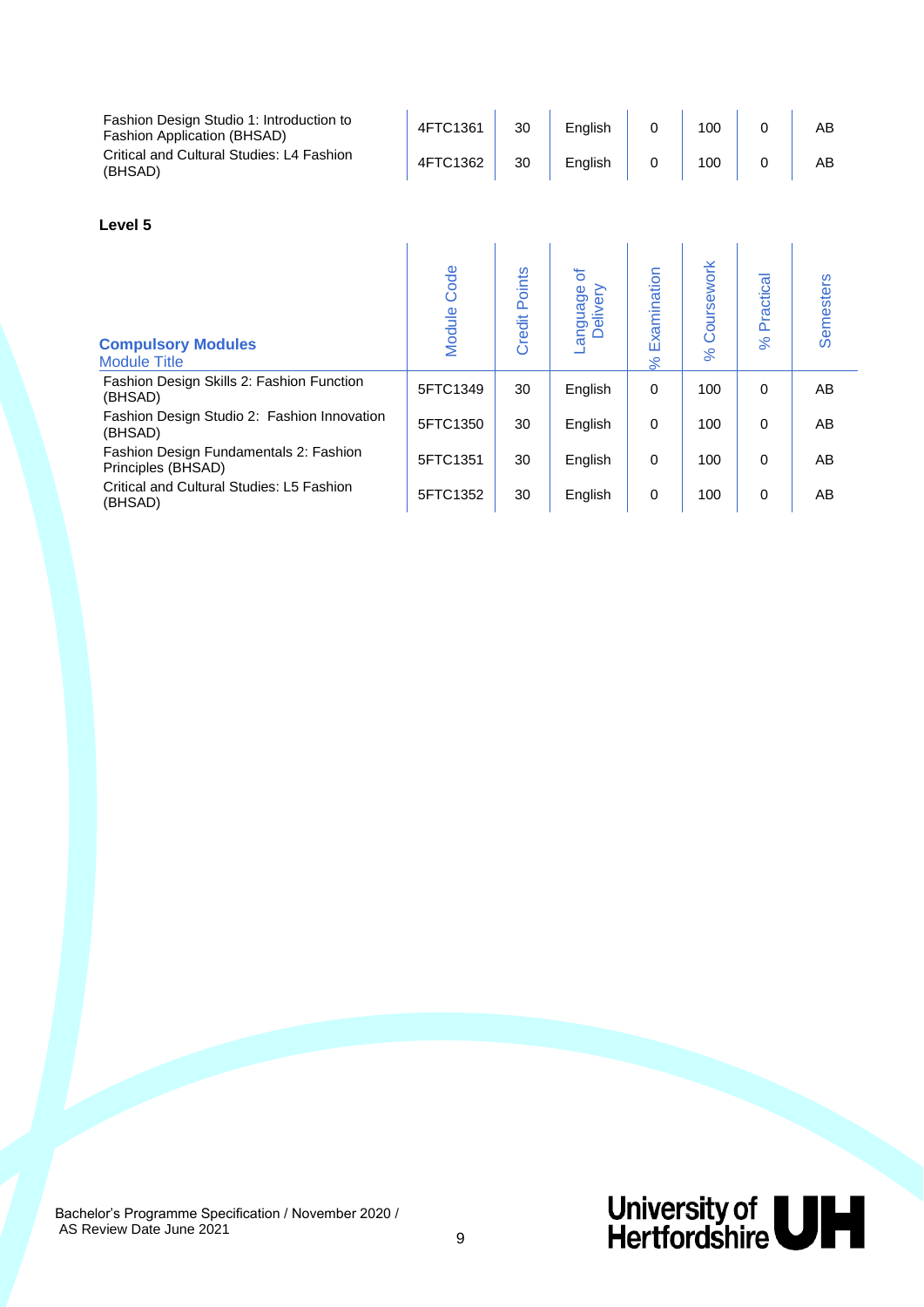| Fashion Design Studio 1: Introduction to<br>Fashion Application (BHSAD) | 4FTC1361 | 30 | Enalish | 100 | AB |
|-------------------------------------------------------------------------|----------|----|---------|-----|----|
| Critical and Cultural Studies: L4 Fashion<br>(BHSAD)                    | 4FTC1362 | 30 | Enalish | 100 | AE |

#### **Level 5**

| <b>Compulsory Modules</b><br><b>Module Title</b>             | Code<br>Module | Points<br>Credit | ৳<br>anguage<br>Delivery | xamination<br>ш<br>% | Coursework<br>$\aleph$ | Practical<br>$\aleph$ | Semesters |
|--------------------------------------------------------------|----------------|------------------|--------------------------|----------------------|------------------------|-----------------------|-----------|
| Fashion Design Skills 2: Fashion Function<br>(BHSAD)         | 5FTC1349       | 30               | English                  | 0                    | 100                    | 0                     | AB        |
| Fashion Design Studio 2: Fashion Innovation<br>(BHSAD)       | 5FTC1350       | 30               | English                  | 0                    | 100                    | $\Omega$              | AB        |
| Fashion Design Fundamentals 2: Fashion<br>Principles (BHSAD) | 5FTC1351       | 30               | English                  | 0                    | 100                    | $\Omega$              | AB        |
| Critical and Cultural Studies: L5 Fashion<br>(BHSAD)         | 5FTC1352       | 30               | English                  | 0                    | 100                    | 0                     | AB        |

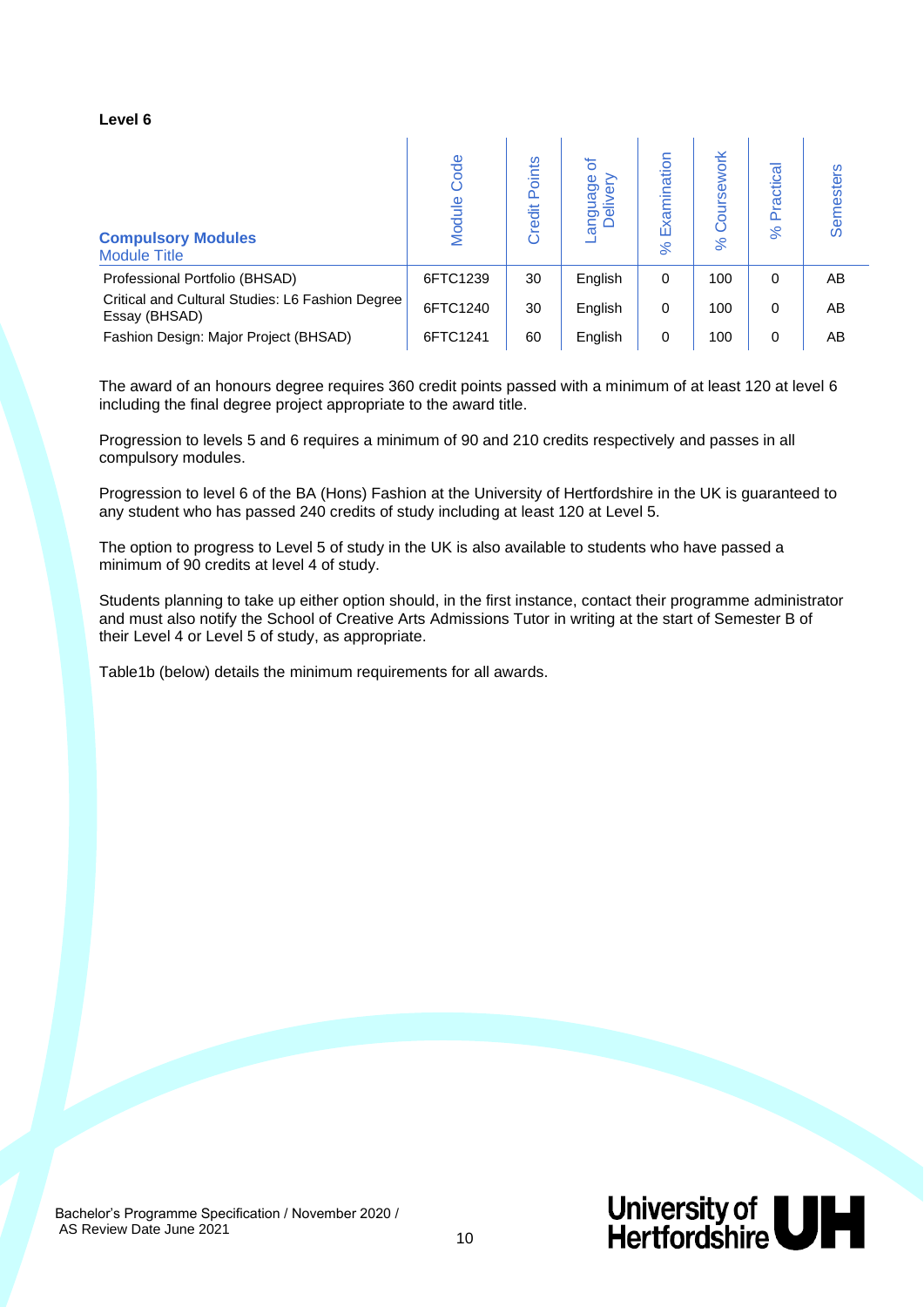#### **Level 6**

| <b>Compulsory Modules</b><br><b>Module Title</b>                  | Code<br>Module | Points<br>Credit | ৳<br>anguage<br>Delivery<br>$\epsilon$ | amination<br>$\mathbf{K}$<br>వ్ | ork<br>Φ<br>ø<br>O<br>$\aleph$ | ractica<br>۵<br>$\aleph$ | esters<br>Sen |
|-------------------------------------------------------------------|----------------|------------------|----------------------------------------|---------------------------------|--------------------------------|--------------------------|---------------|
| Professional Portfolio (BHSAD)                                    | 6FTC1239       | 30               | English                                | $\Omega$                        | 100                            | $\Omega$                 | AB            |
| Critical and Cultural Studies: L6 Fashion Degree<br>Essay (BHSAD) | 6FTC1240       | 30               | English                                | 0                               | 100                            | 0                        | AB            |
| Fashion Design: Major Project (BHSAD)                             | 6FTC1241       | 60               | English                                | 0                               | 100                            | 0                        | AB            |

The award of an honours degree requires 360 credit points passed with a minimum of at least 120 at level 6 including the final degree project appropriate to the award title.

Progression to levels 5 and 6 requires a minimum of 90 and 210 credits respectively and passes in all compulsory modules.

Progression to level 6 of the BA (Hons) Fashion at the University of Hertfordshire in the UK is guaranteed to any student who has passed 240 credits of study including at least 120 at Level 5.

The option to progress to Level 5 of study in the UK is also available to students who have passed a minimum of 90 credits at level 4 of study.

Students planning to take up either option should, in the first instance, contact their programme administrator and must also notify the School of Creative Arts Admissions Tutor in writing at the start of Semester B of their Level 4 or Level 5 of study, as appropriate.

Table1b (below) details the minimum requirements for all awards.

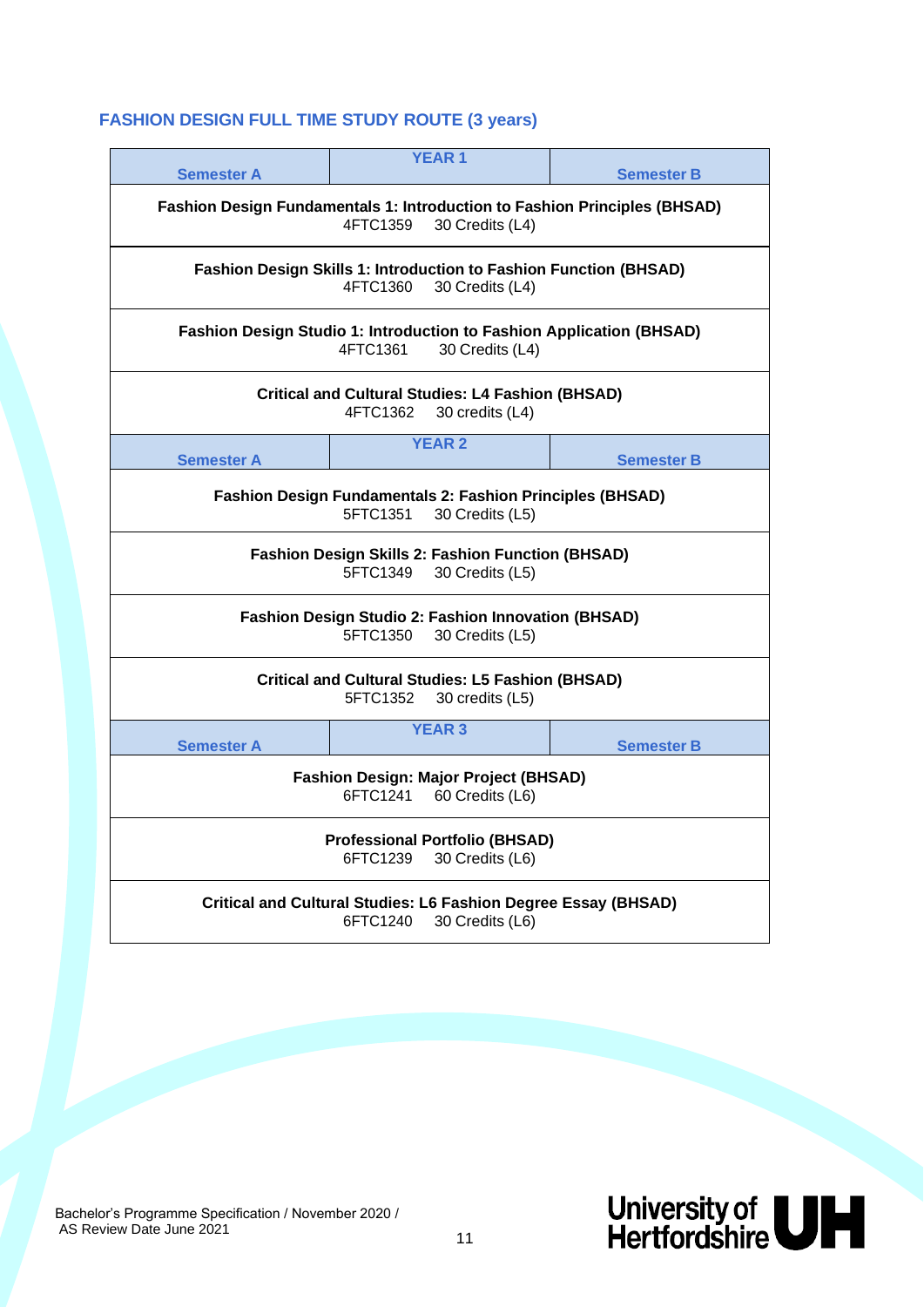### **FASHION DESIGN FULL TIME STUDY ROUTE (3 years)**

| <b>Semester A</b>                                                                                    | <b>YEAR1</b>                                                                 |                 | <b>Semester B</b>                                                         |  |  |
|------------------------------------------------------------------------------------------------------|------------------------------------------------------------------------------|-----------------|---------------------------------------------------------------------------|--|--|
|                                                                                                      | 4FTC1359                                                                     | 30 Credits (L4) | Fashion Design Fundamentals 1: Introduction to Fashion Principles (BHSAD) |  |  |
|                                                                                                      | 4FTC1360                                                                     | 30 Credits (L4) | <b>Fashion Design Skills 1: Introduction to Fashion Function (BHSAD)</b>  |  |  |
| Fashion Design Studio 1: Introduction to Fashion Application (BHSAD)<br>30 Credits (L4)<br>4FTC1361  |                                                                              |                 |                                                                           |  |  |
| <b>Critical and Cultural Studies: L4 Fashion (BHSAD)</b><br>4FTC1362<br>30 credits (L4)              |                                                                              |                 |                                                                           |  |  |
| <b>Semester A</b>                                                                                    | <b>YEAR 2</b>                                                                |                 | <b>Semester B</b>                                                         |  |  |
|                                                                                                      | <b>Fashion Design Fundamentals 2: Fashion Principles (BHSAD)</b><br>5FTC1351 | 30 Credits (L5) |                                                                           |  |  |
|                                                                                                      | <b>Fashion Design Skills 2: Fashion Function (BHSAD)</b><br>5FTC1349         | 30 Credits (L5) |                                                                           |  |  |
|                                                                                                      | <b>Fashion Design Studio 2: Fashion Innovation (BHSAD)</b><br>5FTC1350       | 30 Credits (L5) |                                                                           |  |  |
|                                                                                                      | <b>Critical and Cultural Studies: L5 Fashion (BHSAD)</b><br>5FTC1352         | 30 credits (L5) |                                                                           |  |  |
| <b>Semester A</b>                                                                                    | <b>YEAR 3</b>                                                                |                 | <b>Semester B</b>                                                         |  |  |
| <b>Fashion Design: Major Project (BHSAD)</b><br>6FTC1241<br>60 Credits (L6)                          |                                                                              |                 |                                                                           |  |  |
| <b>Professional Portfolio (BHSAD)</b><br>6FTC1239<br>30 Credits (L6)                                 |                                                                              |                 |                                                                           |  |  |
| <b>Critical and Cultural Studies: L6 Fashion Degree Essay (BHSAD)</b><br>6FTC1240<br>30 Credits (L6) |                                                                              |                 |                                                                           |  |  |

Bachelor's Programme Specification / November 2020 / AS Review Date June 2021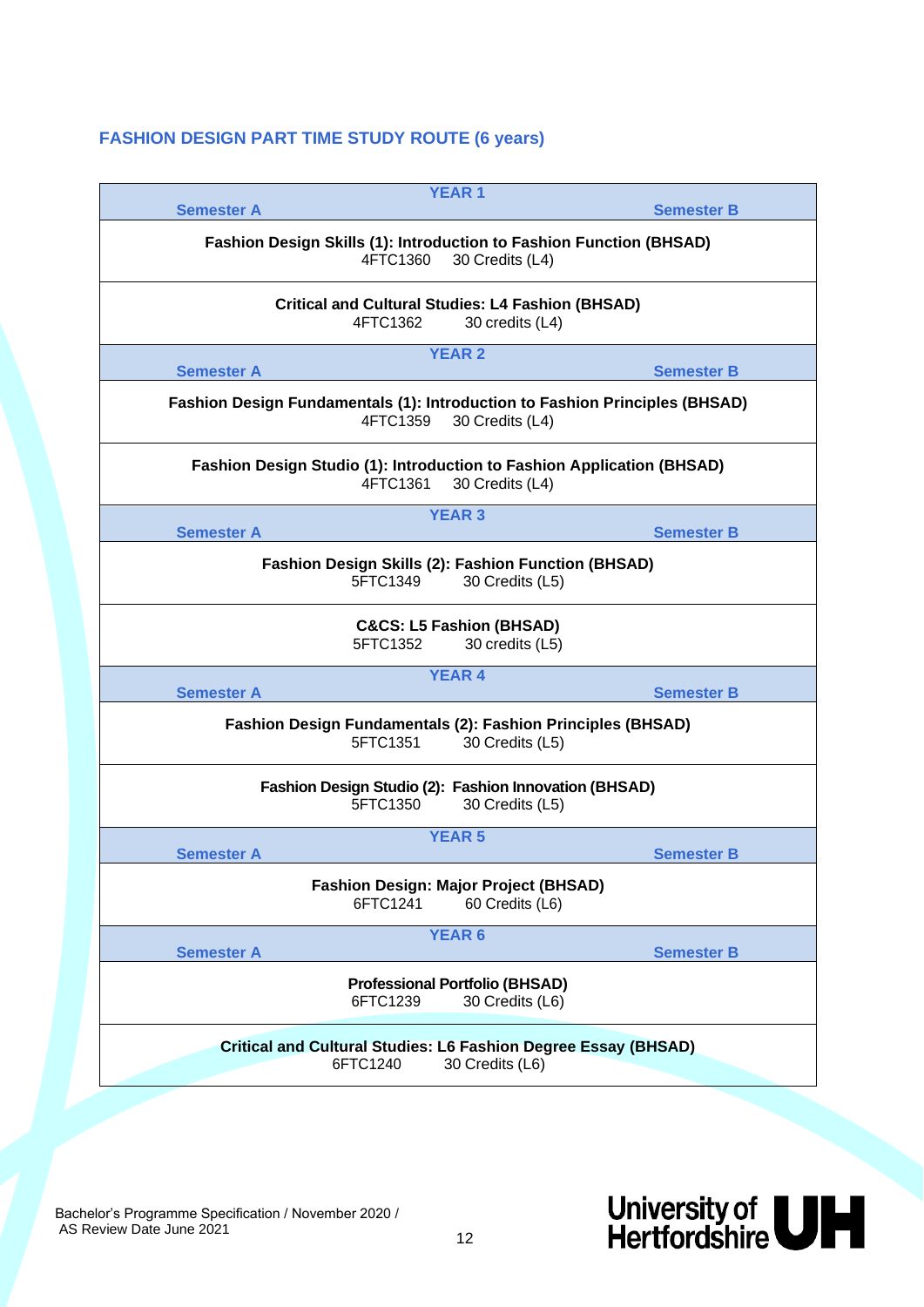#### **FASHION DESIGN PART TIME STUDY ROUTE (6 years)**

| <b>Semester A</b>                                                                       | <b>YEAR 1</b>                                                                             | <b>Semester B</b> |
|-----------------------------------------------------------------------------------------|-------------------------------------------------------------------------------------------|-------------------|
| 4FTC1360                                                                                | Fashion Design Skills (1): Introduction to Fashion Function (BHSAD)<br>30 Credits (L4)    |                   |
| 4FTC1362                                                                                | <b>Critical and Cultural Studies: L4 Fashion (BHSAD)</b><br>30 credits (L4)               |                   |
| <b>Semester A</b>                                                                       | <b>YEAR 2</b>                                                                             | <b>Semester B</b> |
| Fashion Design Fundamentals (1): Introduction to Fashion Principles (BHSAD)<br>4FTC1359 | 30 Credits (L4)                                                                           |                   |
| 4FTC1361                                                                                | Fashion Design Studio (1): Introduction to Fashion Application (BHSAD)<br>30 Credits (L4) |                   |
| <b>Semester A</b>                                                                       | <b>YEAR 3</b>                                                                             | <b>Semester B</b> |
| 5FTC1349                                                                                | Fashion Design Skills (2): Fashion Function (BHSAD)<br>30 Credits (L5)                    |                   |
| 5FTC1352                                                                                | <b>C&amp;CS: L5 Fashion (BHSAD)</b><br>30 credits (L5)                                    |                   |
| <b>Semester A</b>                                                                       | <b>YEAR 4</b>                                                                             | <b>Semester B</b> |
| 5FTC1351                                                                                | Fashion Design Fundamentals (2): Fashion Principles (BHSAD)<br>30 Credits (L5)            |                   |
| 5FTC1350                                                                                | Fashion Design Studio (2): Fashion Innovation (BHSAD)<br>30 Credits (L5)                  |                   |
| <b>Semester A</b>                                                                       | <b>YEAR 5</b>                                                                             | <b>Semester B</b> |
| 6FTC1241                                                                                | <b>Fashion Design: Major Project (BHSAD)</b><br>60 Credits (L6)                           |                   |
| <b>Semester A</b>                                                                       | <b>YEAR 6</b>                                                                             | <b>Semester B</b> |
| 6FTC1239                                                                                | <b>Professional Portfolio (BHSAD)</b><br>30 Credits (L6)                                  |                   |
| 6FTC1240                                                                                | <b>Critical and Cultural Studies: L6 Fashion Degree Essay (BHSAD)</b><br>30 Credits (L6)  |                   |
|                                                                                         |                                                                                           |                   |

Bachelor's Programme Specification / November 2020 / AS Review Date June 2021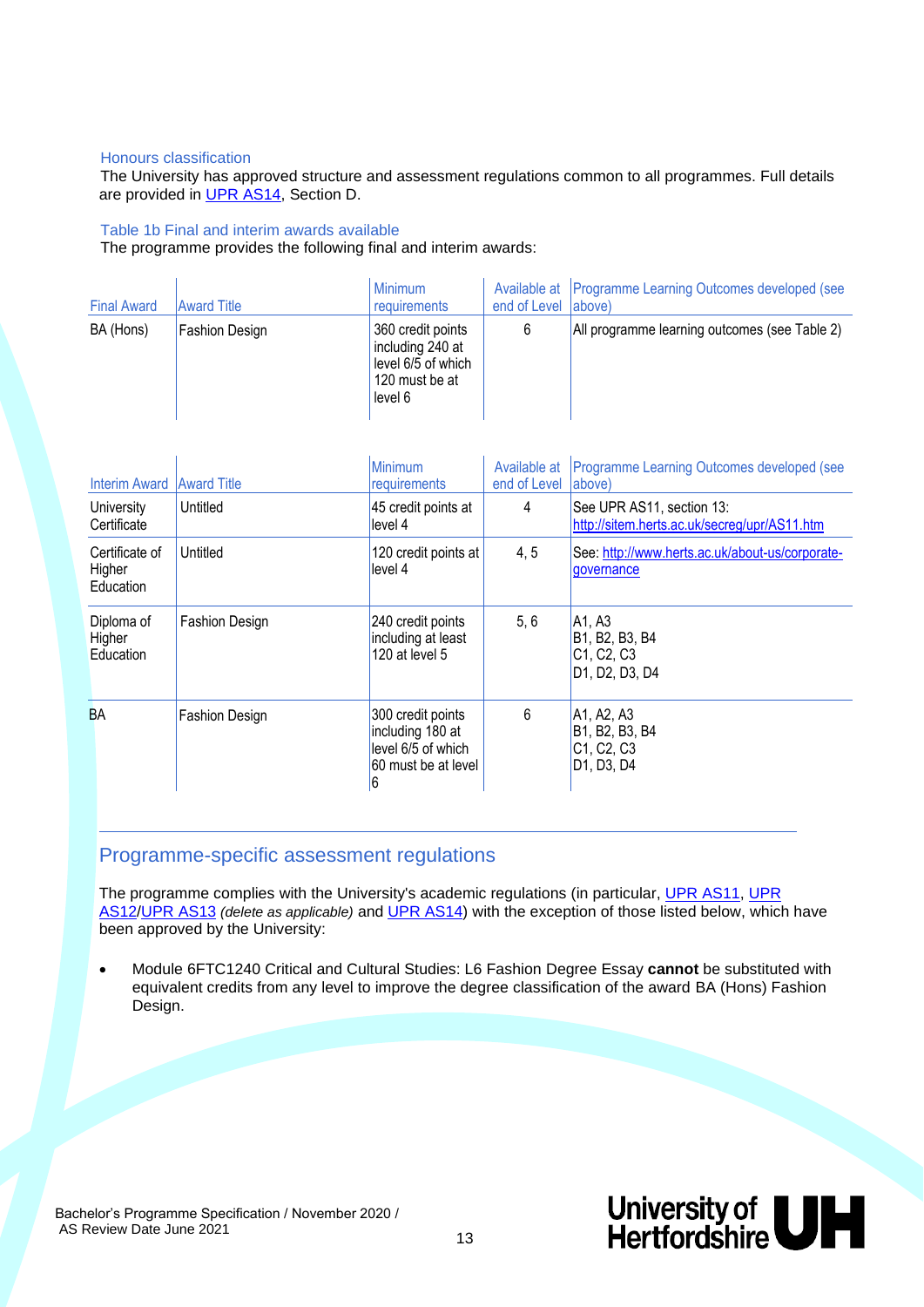#### Honours classification

The University has approved structure and assessment regulations common to all programmes. Full details are provided in [UPR AS14,](http://sitem.herts.ac.uk/secreg/upr/pdf/AS14-Structure%20and%20Assessment%20Regs%20-%20Undergrad%20and%20Taught%20Postgrad%20Programmes-v04%200.pdf) Section D.

#### Table 1b Final and interim awards available

The programme provides the following final and interim awards:

| <b>Final Award</b> | <b>Award Title</b>    | <b>Minimum</b><br>requirements                                                           | end of Level (above) | Available at   Programme Learning Outcomes developed (see |
|--------------------|-----------------------|------------------------------------------------------------------------------------------|----------------------|-----------------------------------------------------------|
| BA (Hons)          | <b>Fashion Design</b> | 360 credit points<br>including 240 at<br>level 6/5 of which<br>120 must be at<br>level 6 |                      | All programme learning outcomes (see Table 2)             |

| <b>Interim Award</b>                         | <b>Award Title</b>    | Minimum<br>requirements                                                                 | Available at<br>end of Level | Programme Learning Outcomes developed (see<br>(above                                                                                                                                    |
|----------------------------------------------|-----------------------|-----------------------------------------------------------------------------------------|------------------------------|-----------------------------------------------------------------------------------------------------------------------------------------------------------------------------------------|
| University<br>Certificate                    | Untitled              | 45 credit points at<br>level 4                                                          | 4                            | See UPR AS11, section 13:<br>http://sitem.herts.ac.uk/secreg/upr/AS11.htm                                                                                                               |
| Certificate of<br>Higher<br><b>Education</b> | Untitled              | 120 credit points at<br>level 4                                                         | 4, 5                         | See: http://www.herts.ac.uk/about-us/corporate-<br>governance                                                                                                                           |
| Diploma of<br>Higher<br><b>Education</b>     | <b>Fashion Design</b> | 240 credit points<br>including at least<br>120 at level 5                               | 5, 6                         | A <sub>1</sub> , A <sub>3</sub><br>B <sub>1</sub> , B <sub>2</sub> , B <sub>3</sub> , B <sub>4</sub><br>C1, C2, C3<br>D <sub>1</sub> , D <sub>2</sub> , D <sub>3</sub> , D <sub>4</sub> |
| <b>BA</b>                                    | <b>Fashion Design</b> | 300 credit points<br>including 180 at<br>level 6/5 of which<br>60 must be at level<br>6 | 6                            | A <sub>1</sub> , A <sub>2</sub> , A <sub>3</sub><br>B <sub>1</sub> , B <sub>2</sub> , B <sub>3</sub> , B <sub>4</sub><br>C1, C2, C3<br>D <sub>1</sub> , D <sub>3</sub> , D <sub>4</sub> |

#### Programme-specific assessment regulations

The programme complies with the University's academic regulations (in particular, [UPR AS11,](http://sitem.herts.ac.uk/secreg/upr/AS11.htm) [UPR](http://sitem.herts.ac.uk/secreg/upr/AS12.htm)  [AS12/](http://sitem.herts.ac.uk/secreg/upr/AS12.htm)[UPR AS13](http://sitem.herts.ac.uk/secreg/upr/AS13.htm) *(delete as applicable)* and [UPR AS14\)](http://sitem.herts.ac.uk/secreg/upr/AS14.htm) with the exception of those listed below, which have been approved by the University:

• Module 6FTC1240 Critical and Cultural Studies: L6 Fashion Degree Essay **cannot** be substituted with equivalent credits from any level to improve the degree classification of the award BA (Hons) Fashion Design.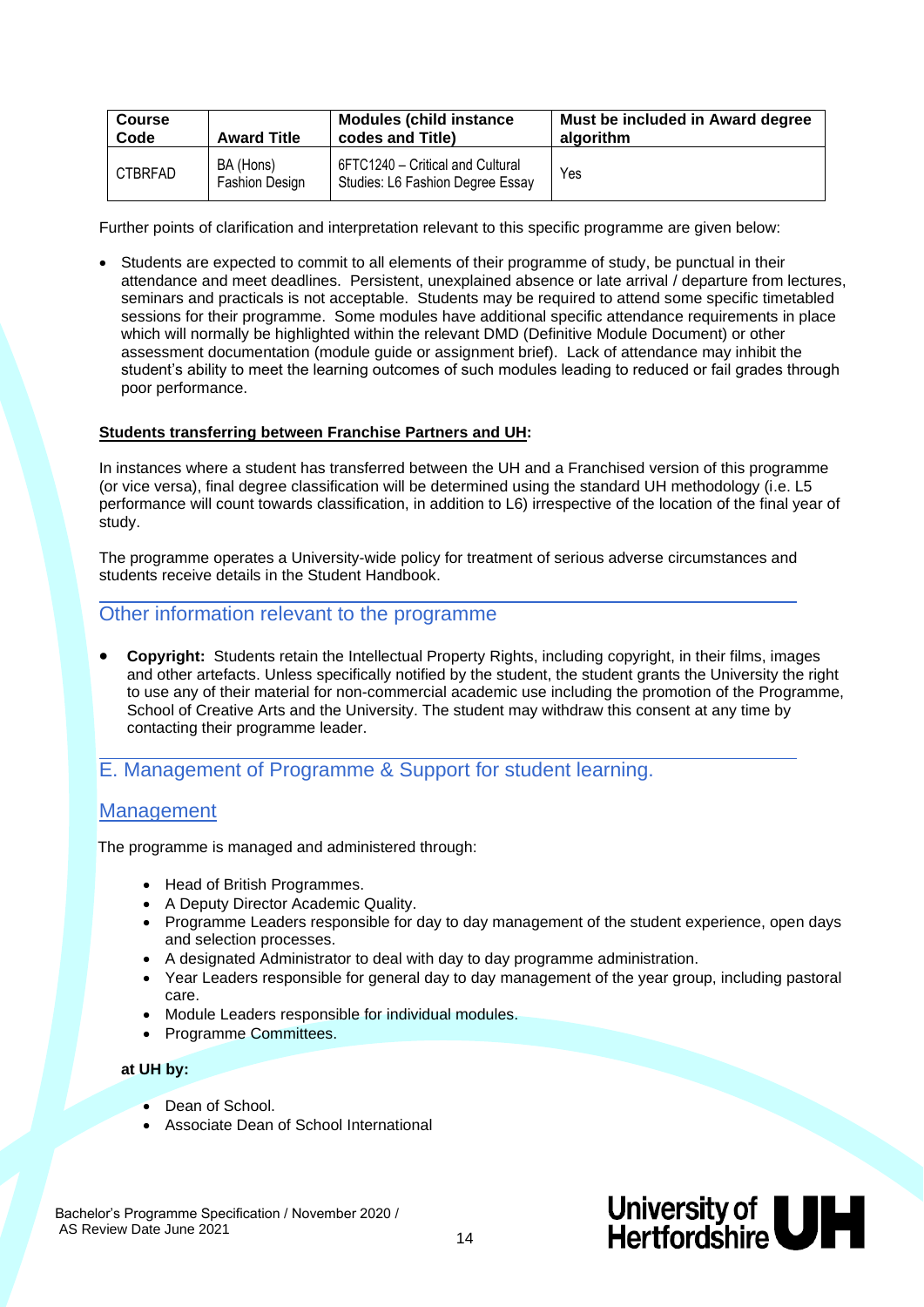| <b>Course</b>  | <b>Award Title</b>                 | <b>Modules (child instance)</b>                                      | Must be included in Award degree |
|----------------|------------------------------------|----------------------------------------------------------------------|----------------------------------|
| Code           |                                    | codes and Title)                                                     | algorithm                        |
| <b>CTBRFAD</b> | BA (Hons)<br><b>Fashion Design</b> | 6FTC1240 - Critical and Cultural<br>Studies: L6 Fashion Degree Essay | Yes                              |

Further points of clarification and interpretation relevant to this specific programme are given below:

• Students are expected to commit to all elements of their programme of study, be punctual in their attendance and meet deadlines. Persistent, unexplained absence or late arrival / departure from lectures, seminars and practicals is not acceptable. Students may be required to attend some specific timetabled sessions for their programme. Some modules have additional specific attendance requirements in place which will normally be highlighted within the relevant DMD (Definitive Module Document) or other assessment documentation (module guide or assignment brief). Lack of attendance may inhibit the student's ability to meet the learning outcomes of such modules leading to reduced or fail grades through poor performance.

#### **Students transferring between Franchise Partners and UH:**

In instances where a student has transferred between the UH and a Franchised version of this programme (or vice versa), final degree classification will be determined using the standard UH methodology (i.e. L5 performance will count towards classification, in addition to L6) irrespective of the location of the final year of study.

The programme operates a University-wide policy for treatment of serious adverse circumstances and students receive details in the Student Handbook.

#### Other information relevant to the programme

• **Copyright:** Students retain the Intellectual Property Rights, including copyright, in their films, images and other artefacts. Unless specifically notified by the student, the student grants the University the right to use any of their material for non-commercial academic use including the promotion of the Programme, School of Creative Arts and the University. The student may withdraw this consent at any time by contacting their programme leader.

#### E. Management of Programme & Support for student learning.

#### **Management**

The programme is managed and administered through:

- Head of British Programmes.
- A Deputy Director Academic Quality.
- Programme Leaders responsible for day to day management of the student experience, open days and selection processes.
- A designated Administrator to deal with day to day programme administration.
- Year Leaders responsible for general day to day management of the year group, including pastoral care.
- Module Leaders responsible for individual modules.
- Programme Committees.

#### **at UH by:**

- Dean of School.
- Associate Dean of School International

Bachelor's Programme Specification / November 2020 / AS Review Date June 2021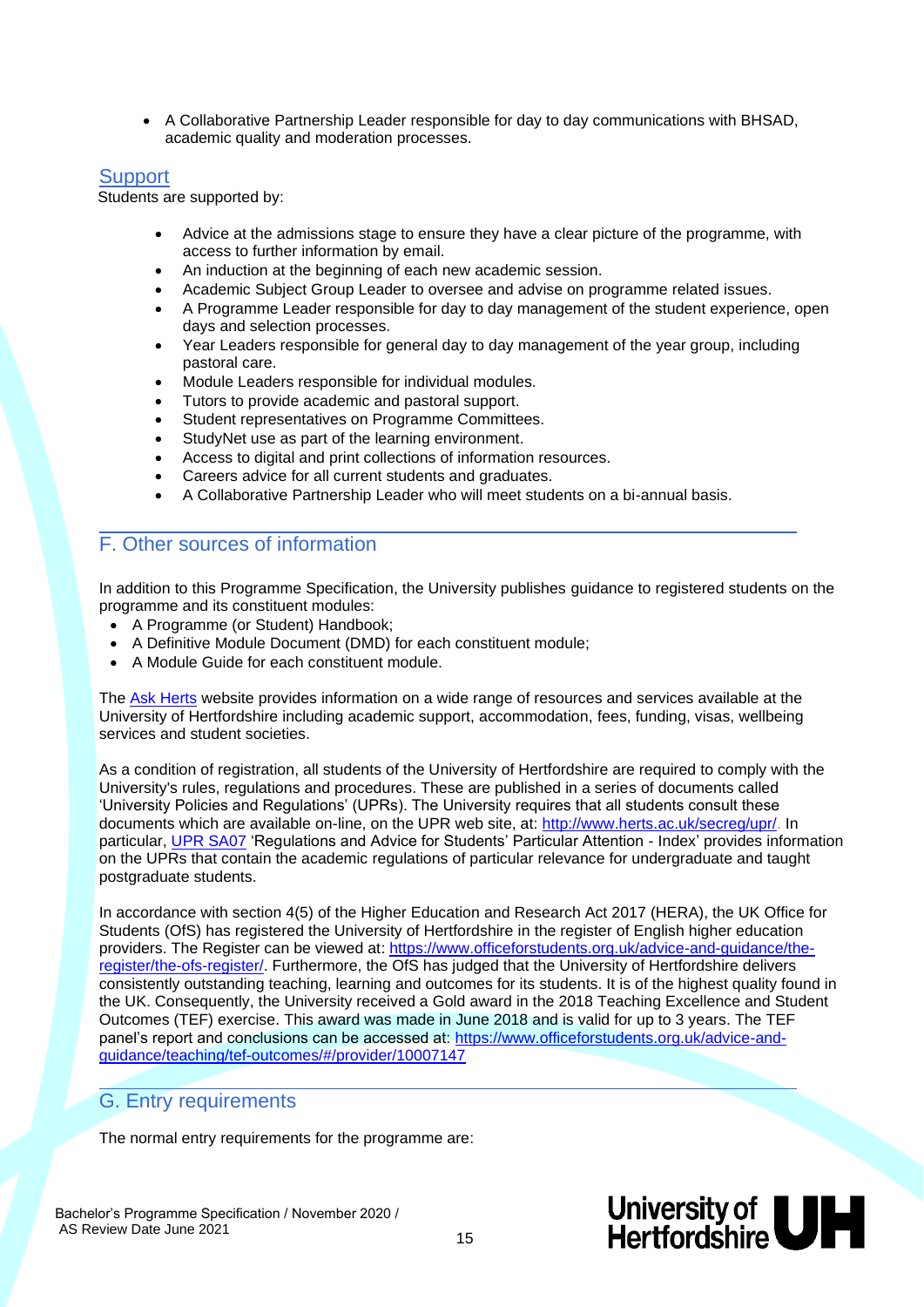• A Collaborative Partnership Leader responsible for day to day communications with BHSAD, academic quality and moderation processes.

#### **Support**

Students are supported by:

- Advice at the admissions stage to ensure they have a clear picture of the programme, with access to further information by email.
- An induction at the beginning of each new academic session.
- Academic Subject Group Leader to oversee and advise on programme related issues.
- A Programme Leader responsible for day to day management of the student experience, open days and selection processes.
- Year Leaders responsible for general day to day management of the year group, including pastoral care.
- Module Leaders responsible for individual modules.
- Tutors to provide academic and pastoral support.
- Student representatives on Programme Committees.
- StudyNet use as part of the learning environment.
- Access to digital and print collections of information resources.
- Careers advice for all current students and graduates.
- A Collaborative Partnership Leader who will meet students on a bi-annual basis.

#### F. Other sources of information

In addition to this Programme Specification, the University publishes guidance to registered students on the programme and its constituent modules:

- A Programme (or Student) Handbook;
- A Definitive Module Document (DMD) for each constituent module;
- A Module Guide for each constituent module.

The [Ask Herts](https://ask.herts.ac.uk/) website provides information on a wide range of resources and services available at the University of Hertfordshire including academic support, accommodation, fees, funding, visas, wellbeing services and student societies.

As a condition of registration, all students of the University of Hertfordshire are required to comply with the University's rules, regulations and procedures. These are published in a series of documents called 'University Policies and Regulations' (UPRs). The University requires that all students consult these documents which are available on-line, on the UPR web site, at: [http://www.herts.ac.uk/secreg/upr/.](http://www.herts.ac.uk/secreg/upr/) In particular, [UPR SA07](http://sitem.herts.ac.uk/secreg/upr/pdf/SA07-RegsandAdviceforStudents_ParticularAttention-Index-v09.0.pdf) 'Regulations and Advice for Students' Particular Attention - Index' provides information on the UPRs that contain the academic regulations of particular relevance for undergraduate and taught postgraduate students.

In accordance with section 4(5) of the Higher Education and Research Act 2017 (HERA), the UK Office for Students (OfS) has registered the University of Hertfordshire in the register of English higher education providers. The Register can be viewed at: [https://www.officeforstudents.org.uk/advice-and-guidance/the](https://www.officeforstudents.org.uk/advice-and-guidance/the-register/the-ofs-register/)[register/the-ofs-register/.](https://www.officeforstudents.org.uk/advice-and-guidance/the-register/the-ofs-register/) Furthermore, the OfS has judged that the University of Hertfordshire delivers consistently outstanding teaching, learning and outcomes for its students. It is of the highest quality found in the UK. Consequently, the University received a Gold award in the 2018 Teaching Excellence and Student Outcomes (TEF) exercise. This award was made in June 2018 and is valid for up to 3 years. The TEF panel's report and conclusions can be accessed at: [https://www.officeforstudents.org.uk/advice-and](https://www.officeforstudents.org.uk/advice-and-guidance/teaching/tef-outcomes/#/provider/10007147)[guidance/teaching/tef-outcomes/#/provider/10007147](https://www.officeforstudents.org.uk/advice-and-guidance/teaching/tef-outcomes/#/provider/10007147)

#### G. Entry requirements

The normal entry requirements for the programme are:

Bachelor's Programme Specification / November 2020 / AS Review Date June 2021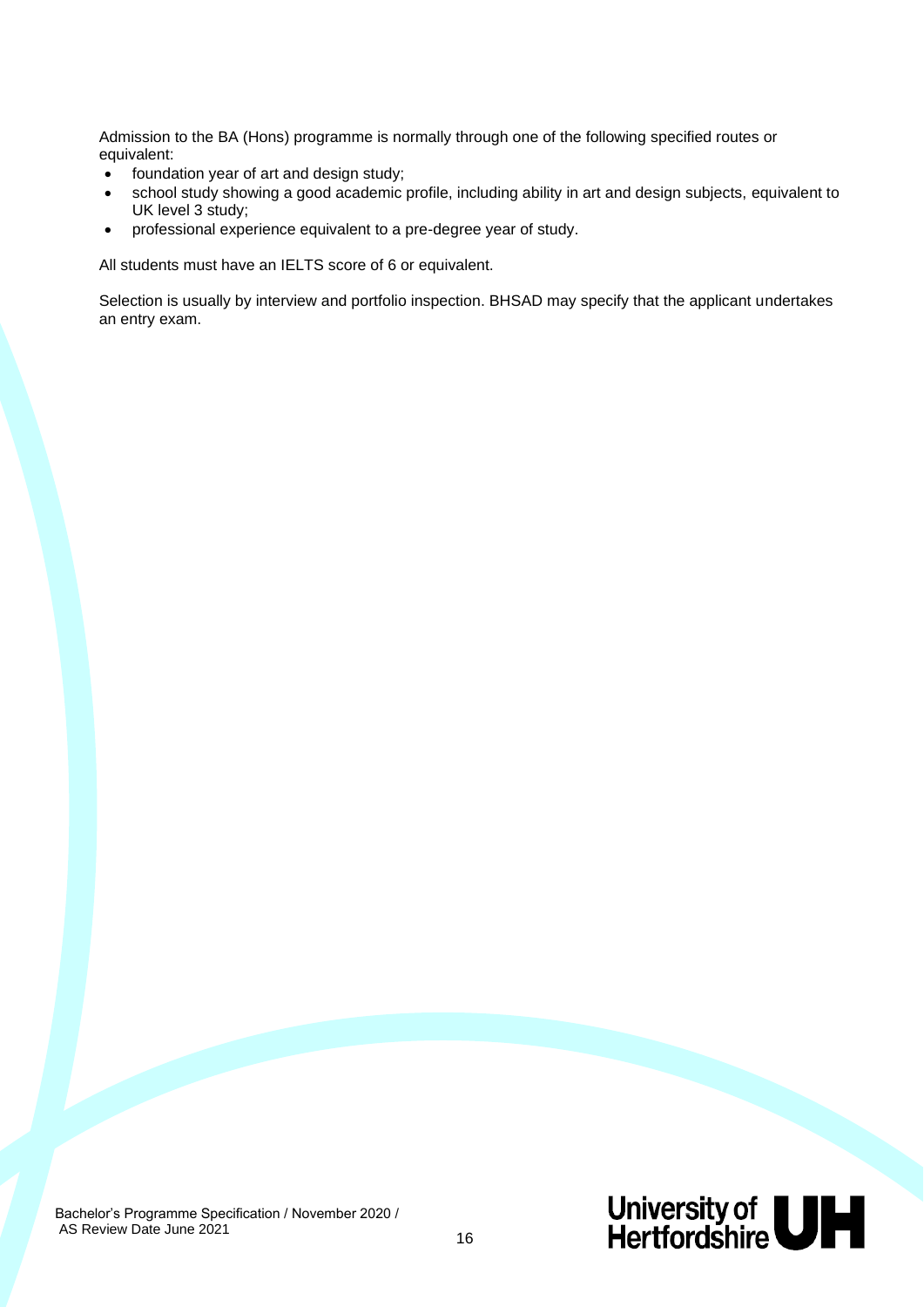Admission to the BA (Hons) programme is normally through one of the following specified routes or equivalent:

- foundation year of art and design study;
- school study showing a good academic profile, including ability in art and design subjects, equivalent to UK level 3 study;
- professional experience equivalent to a pre-degree year of study.

All students must have an IELTS score of 6 or equivalent.

Selection is usually by interview and portfolio inspection. BHSAD may specify that the applicant undertakes an entry exam.

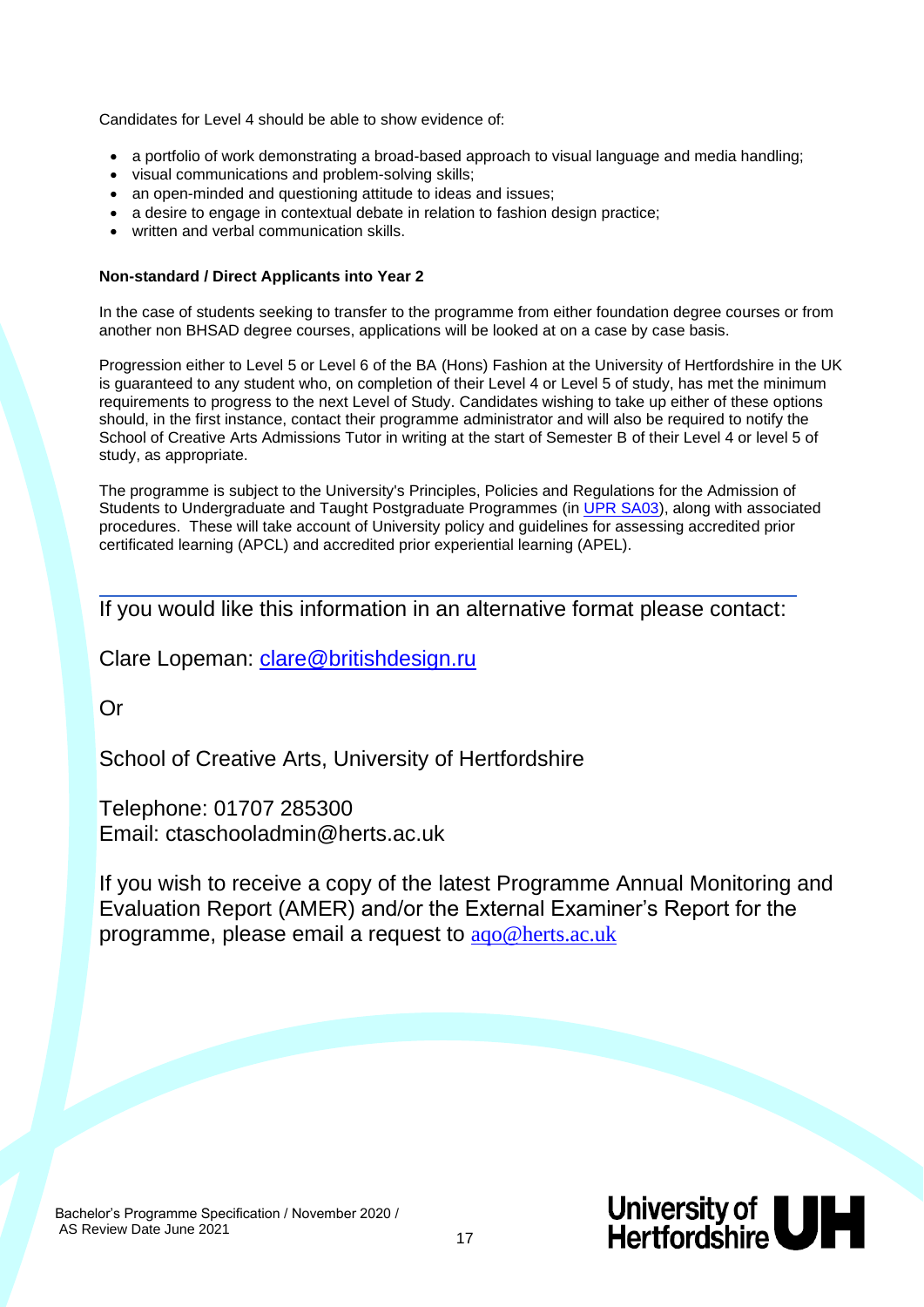Candidates for Level 4 should be able to show evidence of:

- a portfolio of work demonstrating a broad-based approach to visual language and media handling;
- visual communications and problem-solving skills;
- an open-minded and questioning attitude to ideas and issues;
- a desire to engage in contextual debate in relation to fashion design practice;
- written and verbal communication skills.

#### **Non-standard / Direct Applicants into Year 2**

In the case of students seeking to transfer to the programme from either foundation degree courses or from another non BHSAD degree courses, applications will be looked at on a case by case basis.

Progression either to Level 5 or Level 6 of the BA (Hons) Fashion at the University of Hertfordshire in the UK is guaranteed to any student who, on completion of their Level 4 or Level 5 of study, has met the minimum requirements to progress to the next Level of Study. Candidates wishing to take up either of these options should, in the first instance, contact their programme administrator and will also be required to notify the School of Creative Arts Admissions Tutor in writing at the start of Semester B of their Level 4 or level 5 of study, as appropriate.

The programme is subject to the University's Principles, Policies and Regulations for the Admission of Students to Undergraduate and Taught Postgraduate Programmes (in [UPR SA03\)](http://sitem.herts.ac.uk/secreg/upr/pdf/SA03-Admissions-Undergrad%20and%20Taught%20Postgraduate%20Students-v07.0.pdf), along with associated procedures. These will take account of University policy and guidelines for assessing accredited prior certificated learning (APCL) and accredited prior experiential learning (APEL).

### If you would like this information in an alternative format please contact:

Clare Lopeman: [clare@britishdesign.ru](mailto:clare@britishdesign.ru)

Or

School of Creative Arts, University of Hertfordshire

Telephone: 01707 285300 Email: ctaschooladmin@herts.ac.uk

If you wish to receive a copy of the latest Programme Annual Monitoring and Evaluation Report (AMER) and/or the External Examiner's Report for the programme, please email a request to [aqo@herts.ac.uk](mailto:aqo@herts.ac.uk)

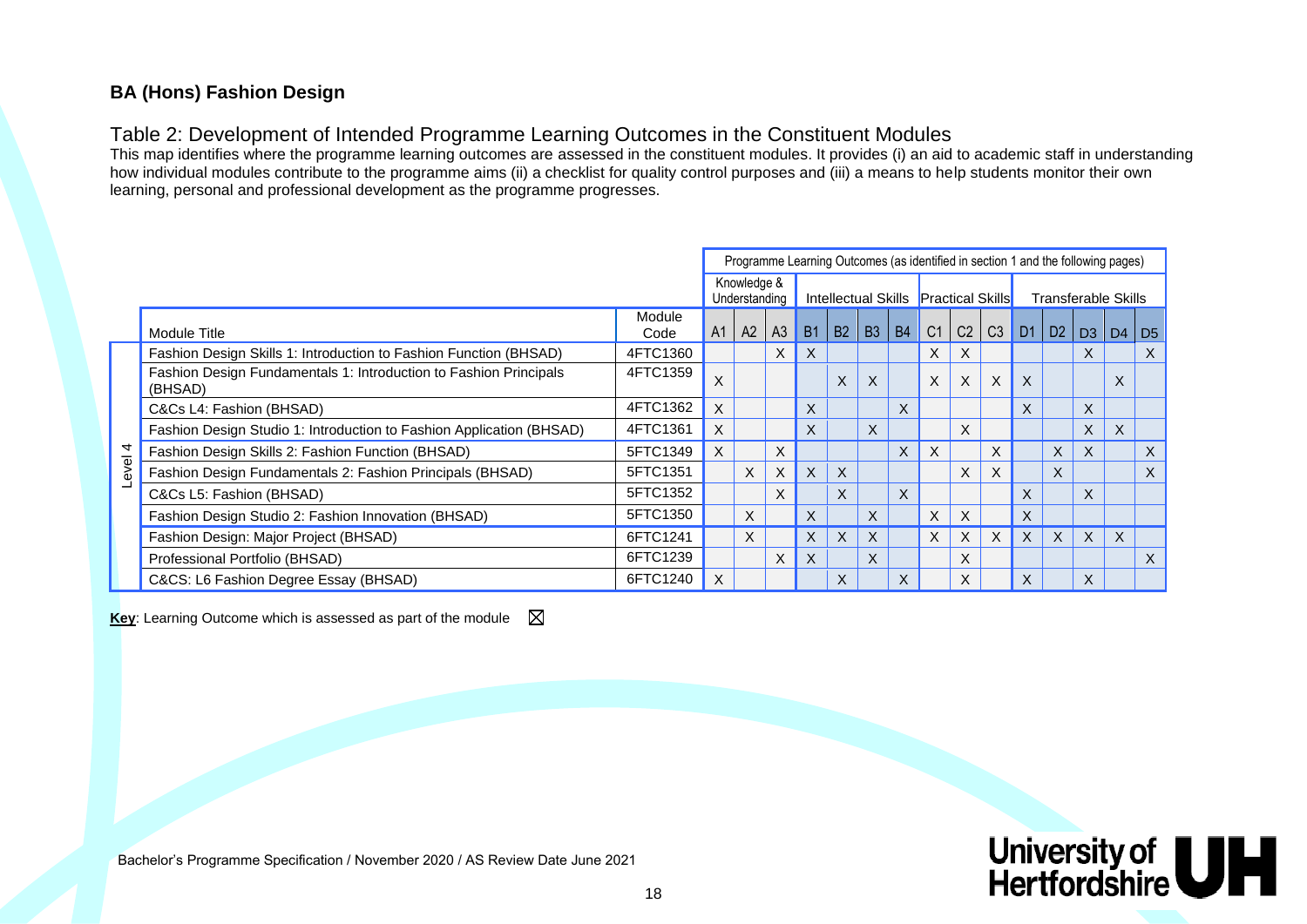### **BA (Hons) Fashion Design**

### Table 2: Development of Intended Programme Learning Outcomes in the Constituent Modules

This map identifies where the programme learning outcomes are assessed in the constituent modules. It provides (i) an aid to academic staff in understanding how individual modules contribute to the programme aims (ii) a checklist for quality control purposes and (iii) a means to help students monitor their own learning, personal and professional development as the programme progresses.

|         |                                                                              |                | Programme Learning Outcomes (as identified in section 1 and the following pages) |                              |                |           |           |    |           |                                      |           |   |                     |       |          |          |                |
|---------|------------------------------------------------------------------------------|----------------|----------------------------------------------------------------------------------|------------------------------|----------------|-----------|-----------|----|-----------|--------------------------------------|-----------|---|---------------------|-------|----------|----------|----------------|
|         |                                                                              |                |                                                                                  | Knowledge &<br>Understanding |                |           |           |    |           | Intellectual Skills Practical Skills |           |   | Transferable Skills |       |          |          |                |
|         | Module Title                                                                 | Module<br>Code |                                                                                  | $A1$   A2                    | A <sub>3</sub> | <b>B1</b> | <b>B2</b> | B3 | <b>B4</b> | C <sub>1</sub>                       | $C2$ $C3$ |   | D <sub>1</sub>      | D2 D3 |          | D4       | D <sub>5</sub> |
|         | Fashion Design Skills 1: Introduction to Fashion Function (BHSAD)            | 4FTC1360       |                                                                                  |                              | X.             | X         |           |    |           | X                                    | X         |   |                     |       | X        |          | $\times$       |
|         | Fashion Design Fundamentals 1: Introduction to Fashion Principals<br>(BHSAD) | 4FTC1359       | X                                                                                |                              |                |           | X         | X  |           | $\times$                             | X         | X | X                   |       |          | X        |                |
|         | C&Cs L4: Fashion (BHSAD)                                                     | 4FTC1362       | X                                                                                |                              |                | X         |           |    | X         |                                      |           |   |                     |       | X        |          |                |
|         | Fashion Design Studio 1: Introduction to Fashion Application (BHSAD)         | 4FTC1361       | X                                                                                |                              |                | X         |           | X  |           |                                      | X         |   |                     |       | X.       | $\times$ |                |
|         | Fashion Design Skills 2: Fashion Function (BHSAD)                            | 5FTC1349       | X                                                                                |                              | X              |           |           |    | $\times$  | $\times$                             |           | X |                     | X     | X        |          | $\times$       |
| Level 4 | Fashion Design Fundamentals 2: Fashion Principals (BHSAD)                    | 5FTC1351       |                                                                                  | $\times$                     | X              | X         | X         |    |           |                                      | X         | X |                     | X.    |          |          | X              |
|         | C&Cs L5: Fashion (BHSAD)                                                     | 5FTC1352       |                                                                                  |                              | X              |           | X         |    | X         |                                      |           |   | X                   |       | X        |          |                |
|         | Fashion Design Studio 2: Fashion Innovation (BHSAD)                          | 5FTC1350       |                                                                                  | X                            |                | X         |           | X  |           | X                                    | X         |   | X                   |       |          |          |                |
|         | Fashion Design: Major Project (BHSAD)                                        | 6FTC1241       |                                                                                  | X                            |                | X         | X         | X  |           | $\times$                             | X         | X | $\times$            | X     | $\times$ | X        |                |
|         | Professional Portfolio (BHSAD)                                               | 6FTC1239       |                                                                                  |                              | X              | X         |           | X  |           |                                      | X         |   |                     |       |          |          | X              |
|         | C&CS: L6 Fashion Degree Essay (BHSAD)                                        | 6FTC1240       | X                                                                                |                              |                |           | X         |    | X         |                                      | X         |   | X                   |       | X        |          |                |

**Key:** Learning Outcome which is assessed as part of the module  $\boxtimes$ 

Bachelor's Programme Specification / November 2020 / AS Review Date June 2021

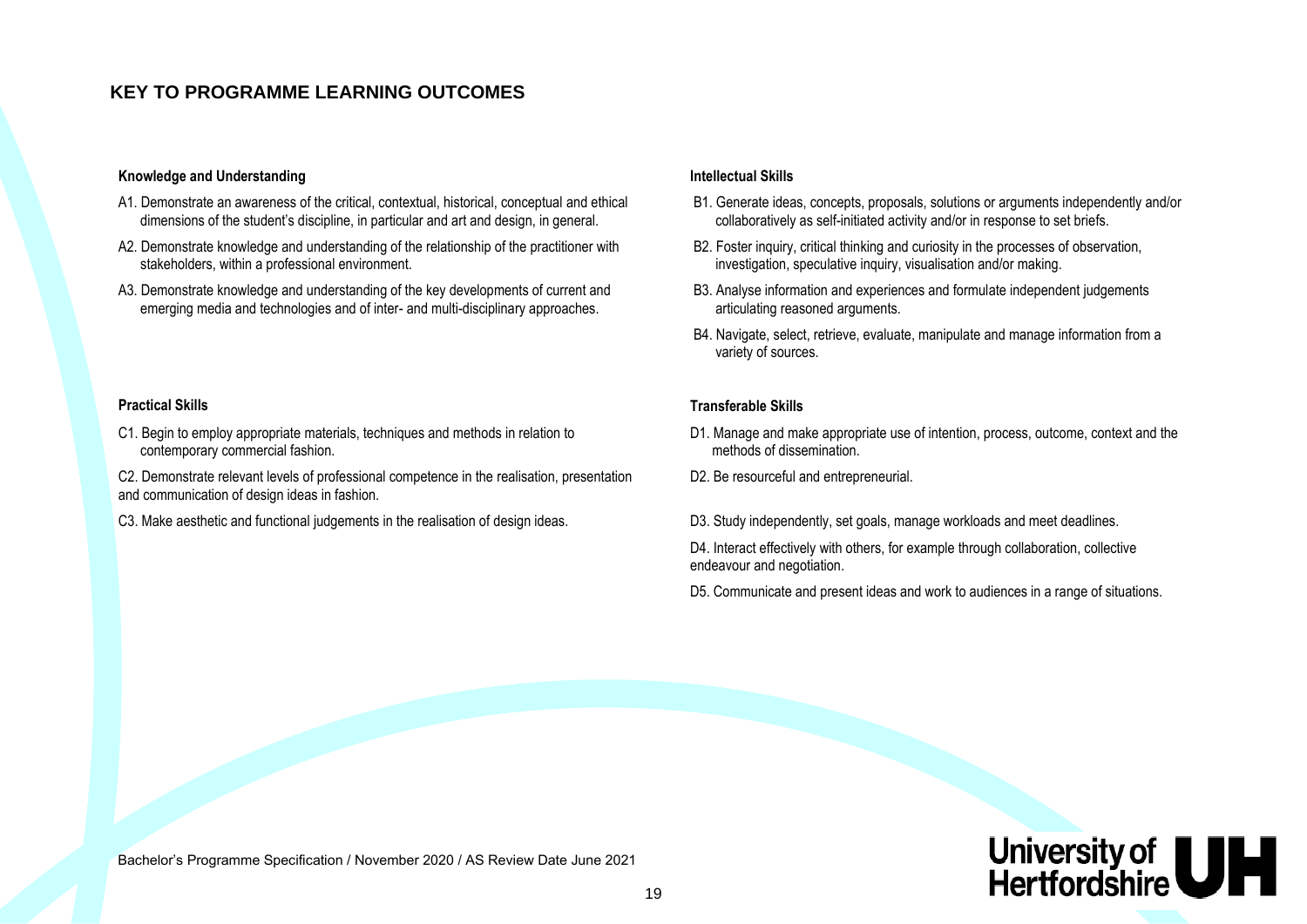#### **KEY TO PROGRAMME LEARNING OUTCOMES**

#### **Knowledge and Understanding Intellectual Skills**

contemporary commercial fashion.

and communication of design ideas in fashion.

- A1. Demonstrate an awareness of the critical, contextual, historical, conceptual and ethical dimensions of the student's discipline, in particular and art and design, in general.
- A2. Demonstrate knowledge and understanding of the relationship of the practitioner with stakeholders, within a professional environment.
- A3. Demonstrate knowledge and understanding of the key developments of current and emerging media and technologies and of inter- and multi-disciplinary approaches.

C1. Begin to employ appropriate materials, techniques and methods in relation to

C2. Demonstrate relevant levels of professional competence in the realisation, presentation

- B1. Generate ideas, concepts, proposals, solutions or arguments independently and/or collaboratively as self-initiated activity and/or in response to set briefs.
- B2. Foster inquiry, critical thinking and curiosity in the processes of observation, investigation, speculative inquiry, visualisation and/or making.
- B3. Analyse information and experiences and formulate independent judgements articulating reasoned arguments.
- B4. Navigate, select, retrieve, evaluate, manipulate and manage information from a variety of sources.

#### **Practical Skills Transferable Skills**

- D1. Manage and make appropriate use of intention, process, outcome, context and the methods of dissemination.
- D2. Be resourceful and entrepreneurial.
- C3. Make aesthetic and functional judgements in the realisation of design ideas. D3. Study independently, set goals, manage workloads and meet deadlines.

D4. Interact effectively with others, for example through collaboration, collective endeavour and negotiation.

D5. Communicate and present ideas and work to audiences in a range of situations.

Bachelor's Programme Specification / November 2020 / AS Review Date June 2021

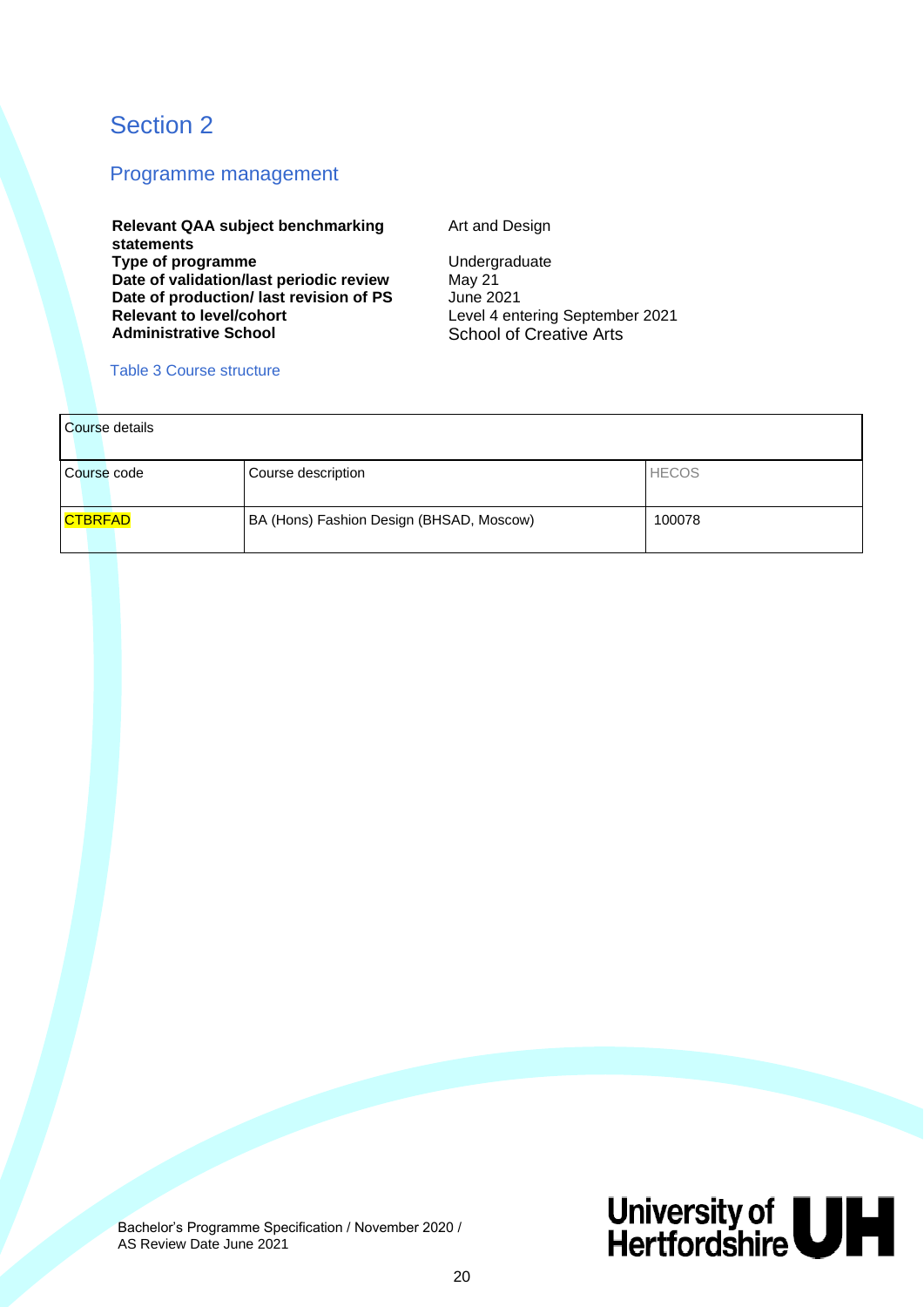### Section 2

#### Programme management

**Relevant QAA subject benchmarking statements Type of programme** Undergraduate<br>
Date of validation/last periodic review May 21 **Date of validation/last periodic review** May 21<br> **Date of production/last revision of PS** June 2021 Date of production/ last revision of PS<br>Relevant to level/cohort **Relevant to level/cohort**<br> **Administrative School**<br> **Administrative School**<br> **Administrative School** 

Art and Design

**School of Creative Arts** 

#### Table 3 Course structure

| Course details |                                          |              |
|----------------|------------------------------------------|--------------|
| Course code    | Course description                       | <b>HECOS</b> |
| CTBRFAD        | BA (Hons) Fashion Design (BHSAD, Moscow) | 100078       |

 Bachelor's Programme Specification / November 2020 / AS Review Date June 2021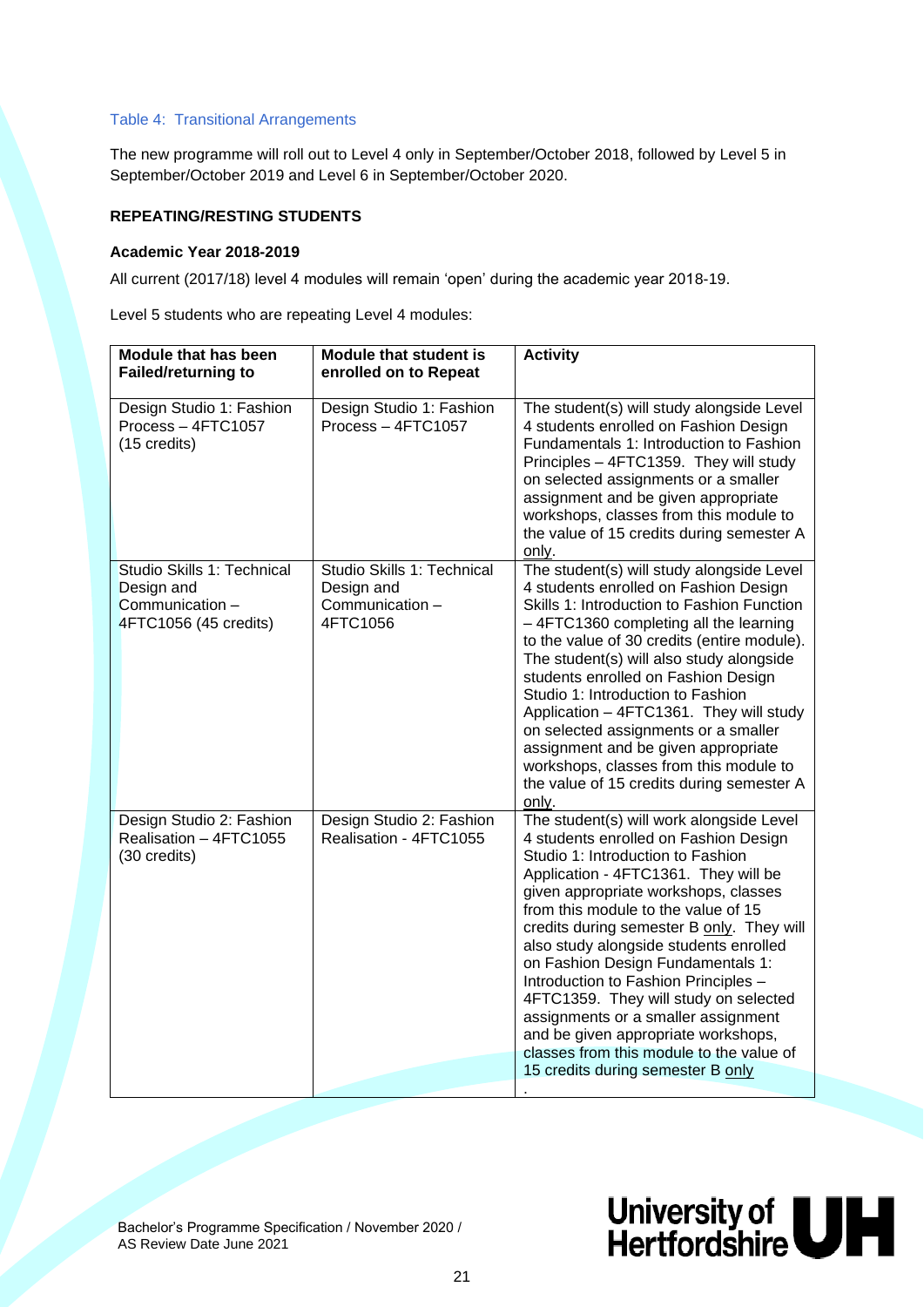#### Table 4: Transitional Arrangements

The new programme will roll out to Level 4 only in September/October 2018, followed by Level 5 in September/October 2019 and Level 6 in September/October 2020.

#### **REPEATING/RESTING STUDENTS**

#### **Academic Year 2018-2019**

All current (2017/18) level 4 modules will remain 'open' during the academic year 2018-19.

Level 5 students who are repeating Level 4 modules:

| Module that has been<br><b>Failed/returning to</b>                                   | <b>Module that student is</b><br>enrolled on to Repeat                  | <b>Activity</b>                                                                                                                                                                                                                                                                                                                                                                                                                                                                                                                                                                                                           |  |  |  |  |  |
|--------------------------------------------------------------------------------------|-------------------------------------------------------------------------|---------------------------------------------------------------------------------------------------------------------------------------------------------------------------------------------------------------------------------------------------------------------------------------------------------------------------------------------------------------------------------------------------------------------------------------------------------------------------------------------------------------------------------------------------------------------------------------------------------------------------|--|--|--|--|--|
| Design Studio 1: Fashion<br>Process - 4FTC1057<br>(15 credits)                       | Design Studio 1: Fashion<br>Process - 4FTC1057                          | The student(s) will study alongside Level<br>4 students enrolled on Fashion Design<br>Fundamentals 1: Introduction to Fashion<br>Principles - 4FTC1359. They will study<br>on selected assignments or a smaller<br>assignment and be given appropriate<br>workshops, classes from this module to<br>the value of 15 credits during semester A<br>only.                                                                                                                                                                                                                                                                    |  |  |  |  |  |
| Studio Skills 1: Technical<br>Design and<br>Communication -<br>4FTC1056 (45 credits) | Studio Skills 1: Technical<br>Design and<br>Communication -<br>4FTC1056 | The student(s) will study alongside Level<br>4 students enrolled on Fashion Design<br>Skills 1: Introduction to Fashion Function<br>-4FTC1360 completing all the learning<br>to the value of 30 credits (entire module).<br>The student(s) will also study alongside<br>students enrolled on Fashion Design<br>Studio 1: Introduction to Fashion<br>Application - 4FTC1361. They will study<br>on selected assignments or a smaller<br>assignment and be given appropriate<br>workshops, classes from this module to<br>the value of 15 credits during semester A<br>only.                                                |  |  |  |  |  |
| Design Studio 2: Fashion<br>Realisation - 4FTC1055<br>(30 credits)                   | Design Studio 2: Fashion<br>Realisation - 4FTC1055                      | The student(s) will work alongside Level<br>4 students enrolled on Fashion Design<br>Studio 1: Introduction to Fashion<br>Application - 4FTC1361. They will be<br>given appropriate workshops, classes<br>from this module to the value of 15<br>credits during semester B only. They will<br>also study alongside students enrolled<br>on Fashion Design Fundamentals 1:<br>Introduction to Fashion Principles -<br>4FTC1359. They will study on selected<br>assignments or a smaller assignment<br>and be given appropriate workshops,<br>classes from this module to the value of<br>15 credits during semester B only |  |  |  |  |  |

 Bachelor's Programme Specification / November 2020 / AS Review Date June 2021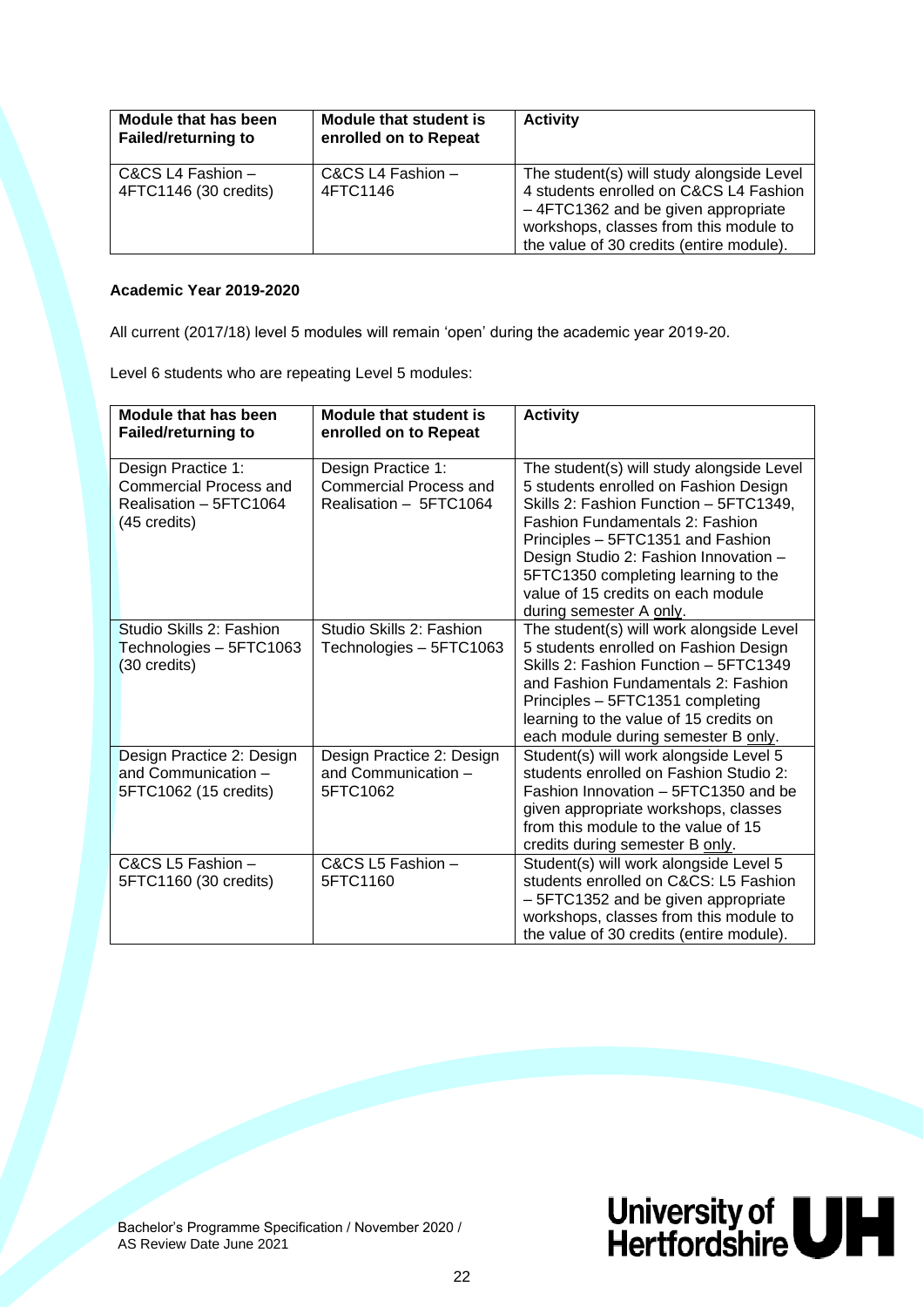| Module that has been<br><b>Failed/returning to</b> | <b>Module that student is</b><br>enrolled on to Repeat | <b>Activity</b>                                                                                                                                                                                                 |
|----------------------------------------------------|--------------------------------------------------------|-----------------------------------------------------------------------------------------------------------------------------------------------------------------------------------------------------------------|
| C&CS L4 Fashion -<br>4FTC1146 (30 credits)         | C&CS L4 Fashion -<br>4FTC1146                          | The student(s) will study alongside Level<br>4 students enrolled on C&CS L4 Fashion<br>-4FTC1362 and be given appropriate<br>workshops, classes from this module to<br>the value of 30 credits (entire module). |

#### **Academic Year 2019-2020**

All current (2017/18) level 5 modules will remain 'open' during the academic year 2019-20.

Level 6 students who are repeating Level 5 modules:

| <b>Module that has been</b><br><b>Failed/returning to</b>                                     | Module that student is<br>enrolled on to Repeat                               | <b>Activity</b>                                                                                                                                                                                                                                                                                                                                              |
|-----------------------------------------------------------------------------------------------|-------------------------------------------------------------------------------|--------------------------------------------------------------------------------------------------------------------------------------------------------------------------------------------------------------------------------------------------------------------------------------------------------------------------------------------------------------|
| Design Practice 1:<br><b>Commercial Process and</b><br>Realisation - 5FTC1064<br>(45 credits) | Design Practice 1:<br><b>Commercial Process and</b><br>Realisation - 5FTC1064 | The student(s) will study alongside Level<br>5 students enrolled on Fashion Design<br>Skills 2: Fashion Function - 5FTC1349,<br><b>Fashion Fundamentals 2: Fashion</b><br>Principles - 5FTC1351 and Fashion<br>Design Studio 2: Fashion Innovation -<br>5FTC1350 completing learning to the<br>value of 15 credits on each module<br>during semester A only. |
| Studio Skills 2: Fashion<br>Technologies - 5FTC1063<br>(30 credits)                           | Studio Skills 2: Fashion<br>Technologies - 5FTC1063                           | The student(s) will work alongside Level<br>5 students enrolled on Fashion Design<br>Skills 2: Fashion Function - 5FTC1349<br>and Fashion Fundamentals 2: Fashion<br>Principles - 5FTC1351 completing<br>learning to the value of 15 credits on<br>each module during semester B only.                                                                       |
| Design Practice 2: Design<br>and Communication -<br>5FTC1062 (15 credits)                     | Design Practice 2: Design<br>and Communication -<br>5FTC1062                  | Student(s) will work alongside Level 5<br>students enrolled on Fashion Studio 2:<br>Fashion Innovation - 5FTC1350 and be<br>given appropriate workshops, classes<br>from this module to the value of 15<br>credits during semester B only.                                                                                                                   |
| C&CS L5 Fashion -<br>5FTC1160 (30 credits)                                                    | C&CS L5 Fashion -<br>5FTC1160                                                 | Student(s) will work alongside Level 5<br>students enrolled on C&CS: L5 Fashion<br>- 5FTC1352 and be given appropriate<br>workshops, classes from this module to<br>the value of 30 credits (entire module).                                                                                                                                                 |

 Bachelor's Programme Specification / November 2020 / AS Review Date June 2021